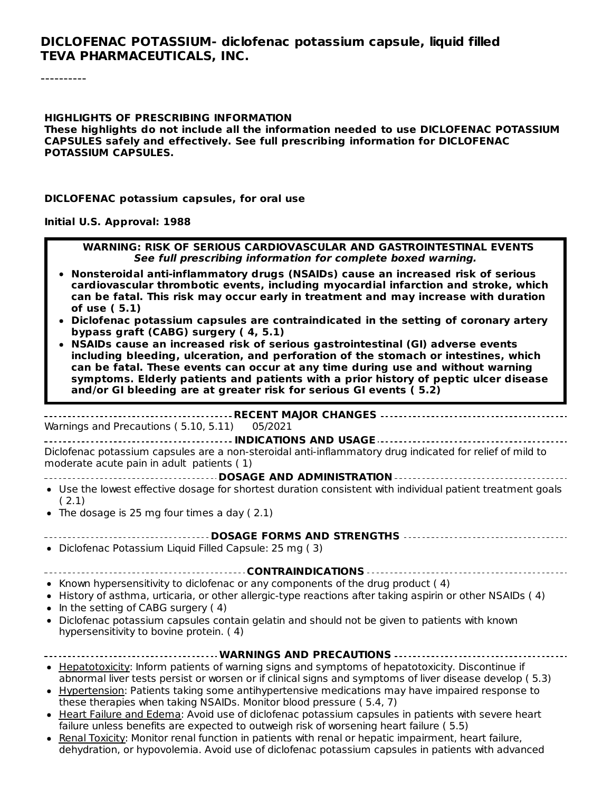#### **DICLOFENAC POTASSIUM- diclofenac potassium capsule, liquid filled TEVA PHARMACEUTICALS, INC.**

----------

#### **HIGHLIGHTS OF PRESCRIBING INFORMATION These highlights do not include all the information needed to use DICLOFENAC POTASSIUM CAPSULES safely and effectively. See full prescribing information for DICLOFENAC POTASSIUM CAPSULES.**

#### **DICLOFENAC potassium capsules, for oral use**

#### **Initial U.S. Approval: 1988**

| <b>WARNING: RISK OF SERIOUS CARDIOVASCULAR AND GASTROINTESTINAL EVENTS</b><br>See full prescribing information for complete boxed warning.<br>Nonsteroidal anti-inflammatory drugs (NSAIDs) cause an increased risk of serious<br>cardiovascular thrombotic events, including myocardial infarction and stroke, which<br>can be fatal. This risk may occur early in treatment and may increase with duration<br>of use (5.1)<br>Diclofenac potassium capsules are contraindicated in the setting of coronary artery<br>bypass graft (CABG) surgery (4, 5.1)<br>• NSAIDs cause an increased risk of serious gastrointestinal (GI) adverse events<br>including bleeding, ulceration, and perforation of the stomach or intestines, which<br>can be fatal. These events can occur at any time during use and without warning<br>symptoms. Elderly patients and patients with a prior history of peptic ulcer disease<br>and/or GI bleeding are at greater risk for serious GI events (5.2) |
|-----------------------------------------------------------------------------------------------------------------------------------------------------------------------------------------------------------------------------------------------------------------------------------------------------------------------------------------------------------------------------------------------------------------------------------------------------------------------------------------------------------------------------------------------------------------------------------------------------------------------------------------------------------------------------------------------------------------------------------------------------------------------------------------------------------------------------------------------------------------------------------------------------------------------------------------------------------------------------------------|
| ----------- RECENT MAJOR CHANGES -----------------------------------<br>Warnings and Precautions (5.10, 5.11) 05/2021                                                                                                                                                                                                                                                                                                                                                                                                                                                                                                                                                                                                                                                                                                                                                                                                                                                                   |
|                                                                                                                                                                                                                                                                                                                                                                                                                                                                                                                                                                                                                                                                                                                                                                                                                                                                                                                                                                                         |
| Diclofenac potassium capsules are a non-steroidal anti-inflammatory drug indicated for relief of mild to<br>moderate acute pain in adult patients (1)                                                                                                                                                                                                                                                                                                                                                                                                                                                                                                                                                                                                                                                                                                                                                                                                                                   |
|                                                                                                                                                                                                                                                                                                                                                                                                                                                                                                                                                                                                                                                                                                                                                                                                                                                                                                                                                                                         |
| • Use the lowest effective dosage for shortest duration consistent with individual patient treatment goals<br>(2.1)                                                                                                                                                                                                                                                                                                                                                                                                                                                                                                                                                                                                                                                                                                                                                                                                                                                                     |
| • The dosage is 25 mg four times a day $(2.1)$                                                                                                                                                                                                                                                                                                                                                                                                                                                                                                                                                                                                                                                                                                                                                                                                                                                                                                                                          |
| --------------------------------- DOSAGE FORMS AND STRENGTHS ------------------------------                                                                                                                                                                                                                                                                                                                                                                                                                                                                                                                                                                                                                                                                                                                                                                                                                                                                                             |
| • Diclofenac Potassium Liquid Filled Capsule: 25 mg (3)                                                                                                                                                                                                                                                                                                                                                                                                                                                                                                                                                                                                                                                                                                                                                                                                                                                                                                                                 |
|                                                                                                                                                                                                                                                                                                                                                                                                                                                                                                                                                                                                                                                                                                                                                                                                                                                                                                                                                                                         |
| • Known hypersensitivity to diclofenac or any components of the drug product (4)                                                                                                                                                                                                                                                                                                                                                                                                                                                                                                                                                                                                                                                                                                                                                                                                                                                                                                        |
| • History of asthma, urticaria, or other allergic-type reactions after taking aspirin or other NSAIDs (4)                                                                                                                                                                                                                                                                                                                                                                                                                                                                                                                                                                                                                                                                                                                                                                                                                                                                               |
| In the setting of CABG surgery (4)<br>$\bullet$<br>Diclofenac potassium capsules contain gelatin and should not be given to patients with known                                                                                                                                                                                                                                                                                                                                                                                                                                                                                                                                                                                                                                                                                                                                                                                                                                         |
| hypersensitivity to bovine protein. (4)                                                                                                                                                                                                                                                                                                                                                                                                                                                                                                                                                                                                                                                                                                                                                                                                                                                                                                                                                 |
| WARNINGS AND PRECAUTIONS                                                                                                                                                                                                                                                                                                                                                                                                                                                                                                                                                                                                                                                                                                                                                                                                                                                                                                                                                                |
| • Hepatotoxicity: Inform patients of warning signs and symptoms of hepatotoxicity. Discontinue if                                                                                                                                                                                                                                                                                                                                                                                                                                                                                                                                                                                                                                                                                                                                                                                                                                                                                       |
| abnormal liver tests persist or worsen or if clinical signs and symptoms of liver disease develop (5.3)                                                                                                                                                                                                                                                                                                                                                                                                                                                                                                                                                                                                                                                                                                                                                                                                                                                                                 |
| • Hypertension: Patients taking some antihypertensive medications may have impaired response to<br>these therapies when taking NSAIDs. Monitor blood pressure (5.4, 7)                                                                                                                                                                                                                                                                                                                                                                                                                                                                                                                                                                                                                                                                                                                                                                                                                  |
| Heart Failure and Edema: Avoid use of diclofenac potassium capsules in patients with severe heart                                                                                                                                                                                                                                                                                                                                                                                                                                                                                                                                                                                                                                                                                                                                                                                                                                                                                       |
| failure unless benefits are expected to outweigh risk of worsening heart failure (5.5)                                                                                                                                                                                                                                                                                                                                                                                                                                                                                                                                                                                                                                                                                                                                                                                                                                                                                                  |

• Renal Toxicity: Monitor renal function in patients with renal or hepatic impairment, heart failure, dehydration, or hypovolemia. Avoid use of diclofenac potassium capsules in patients with advanced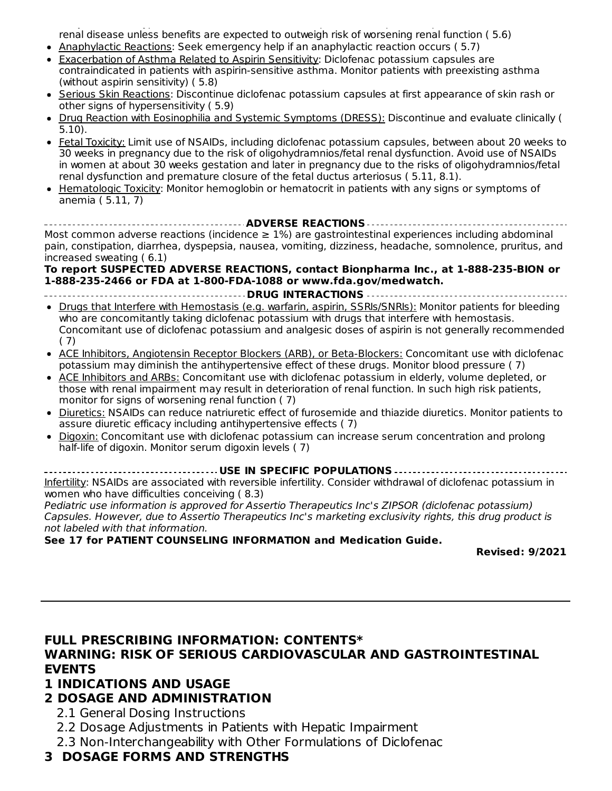dehydration, or hypovolemia. Avoid use of diclofenac potassium capsules in patients with advanced renal disease unless benefits are expected to outweigh risk of worsening renal function ( 5.6) Anaphylactic Reactions: Seek emergency help if an anaphylactic reaction occurs ( 5.7)

- Exacerbation of Asthma Related to Aspirin Sensitivity: Diclofenac potassium capsules are contraindicated in patients with aspirin-sensitive asthma. Monitor patients with preexisting asthma (without aspirin sensitivity) ( 5.8)
- Serious Skin Reactions: Discontinue diclofenac potassium capsules at first appearance of skin rash or other signs of hypersensitivity ( 5.9)
- Drug Reaction with Eosinophilia and Systemic Symptoms (DRESS): Discontinue and evaluate clinically ( 5.10).
- Fetal Toxicity: Limit use of NSAIDs, including diclofenac potassium capsules, between about 20 weeks to 30 weeks in pregnancy due to the risk of oligohydramnios/fetal renal dysfunction. Avoid use of NSAIDs in women at about 30 weeks gestation and later in pregnancy due to the risks of oligohydramnios/fetal renal dysfunction and premature closure of the fetal ductus arteriosus ( 5.11, 8.1).
- Hematologic Toxicity: Monitor hemoglobin or hematocrit in patients with any signs or symptoms of  $\bullet$ anemia ( 5.11, 7)

**ADVERSE REACTIONS** Most common adverse reactions (incidence  $\geq 1\%$ ) are gastrointestinal experiences including abdominal pain, constipation, diarrhea, dyspepsia, nausea, vomiting, dizziness, headache, somnolence, pruritus, and increased sweating ( 6.1)

#### **To report SUSPECTED ADVERSE REACTIONS, contact Bionpharma Inc., at 1-888-235-BION or 1-888-235-2466 or FDA at 1-800-FDA-1088 or www.fda.gov/medwatch.**

#### **DRUG INTERACTIONS**

- Drugs that Interfere with Hemostasis (e.g. warfarin, aspirin, SSRIs/SNRIs): Monitor patients for bleeding who are concomitantly taking diclofenac potassium with drugs that interfere with hemostasis. Concomitant use of diclofenac potassium and analgesic doses of aspirin is not generally recommended  $(7)$
- ACE Inhibitors, Angiotensin Receptor Blockers (ARB), or Beta-Blockers: Concomitant use with diclofenac potassium may diminish the antihypertensive effect of these drugs. Monitor blood pressure ( 7)
- ACE Inhibitors and ARBs: Concomitant use with diclofenac potassium in elderly, volume depleted, or those with renal impairment may result in deterioration of renal function. In such high risk patients, monitor for signs of worsening renal function ( 7)
- Diuretics: NSAIDs can reduce natriuretic effect of furosemide and thiazide diuretics. Monitor patients to assure diuretic efficacy including antihypertensive effects ( 7)
- Digoxin: Concomitant use with diclofenac potassium can increase serum concentration and prolong half-life of digoxin. Monitor serum digoxin levels ( 7)

**USE IN SPECIFIC POPULATIONS** Infertility: NSAIDs are associated with reversible infertility. Consider withdrawal of diclofenac potassium in women who have difficulties conceiving ( 8.3)

Pediatric use information is approved for Assertio Therapeutics Inc's ZIPSOR (diclofenac potassium) Capsules. However, due to Assertio Therapeutics Inc's marketing exclusivity rights, this drug product is not labeled with that information.

#### **See 17 for PATIENT COUNSELING INFORMATION and Medication Guide.**

#### **Revised: 9/2021**

#### **FULL PRESCRIBING INFORMATION: CONTENTS\* WARNING: RISK OF SERIOUS CARDIOVASCULAR AND GASTROINTESTINAL EVENTS**

#### **1 INDICATIONS AND USAGE**

## **2 DOSAGE AND ADMINISTRATION**

- 2.1 General Dosing Instructions
- 2.2 Dosage Adjustments in Patients with Hepatic Impairment
- 2.3 Non-Interchangeability with Other Formulations of Diclofenac

## **3 DOSAGE FORMS AND STRENGTHS**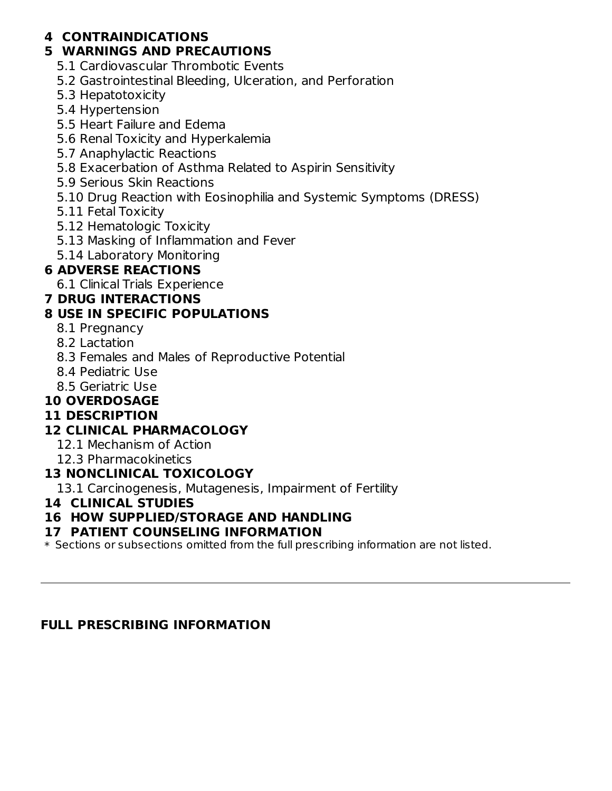## **4 CONTRAINDICATIONS**

## **5 WARNINGS AND PRECAUTIONS**

- 5.1 Cardiovascular Thrombotic Events
- 5.2 Gastrointestinal Bleeding, Ulceration, and Perforation
- 5.3 Hepatotoxicity
- 5.4 Hypertension
- 5.5 Heart Failure and Edema
- 5.6 Renal Toxicity and Hyperkalemia
- 5.7 Anaphylactic Reactions
- 5.8 Exacerbation of Asthma Related to Aspirin Sensitivity
- 5.9 Serious Skin Reactions
- 5.10 Drug Reaction with Eosinophilia and Systemic Symptoms (DRESS)
- 5.11 Fetal Toxicity
- 5.12 Hematologic Toxicity
- 5.13 Masking of Inflammation and Fever
- 5.14 Laboratory Monitoring

## **6 ADVERSE REACTIONS**

6.1 Clinical Trials Experience

## **7 DRUG INTERACTIONS**

## **8 USE IN SPECIFIC POPULATIONS**

- 8.1 Pregnancy
- 8.2 Lactation
- 8.3 Females and Males of Reproductive Potential
- 8.4 Pediatric Use
- 8.5 Geriatric Use

## **10 OVERDOSAGE**

## **11 DESCRIPTION**

## **12 CLINICAL PHARMACOLOGY**

- 12.1 Mechanism of Action
- 12.3 Pharmacokinetics

## **13 NONCLINICAL TOXICOLOGY**

13.1 Carcinogenesis, Mutagenesis, Impairment of Fertility

## **14 CLINICAL STUDIES**

## **16 HOW SUPPLIED/STORAGE AND HANDLING**

## **17 PATIENT COUNSELING INFORMATION**

 $\ast$  Sections or subsections omitted from the full prescribing information are not listed.

## **FULL PRESCRIBING INFORMATION**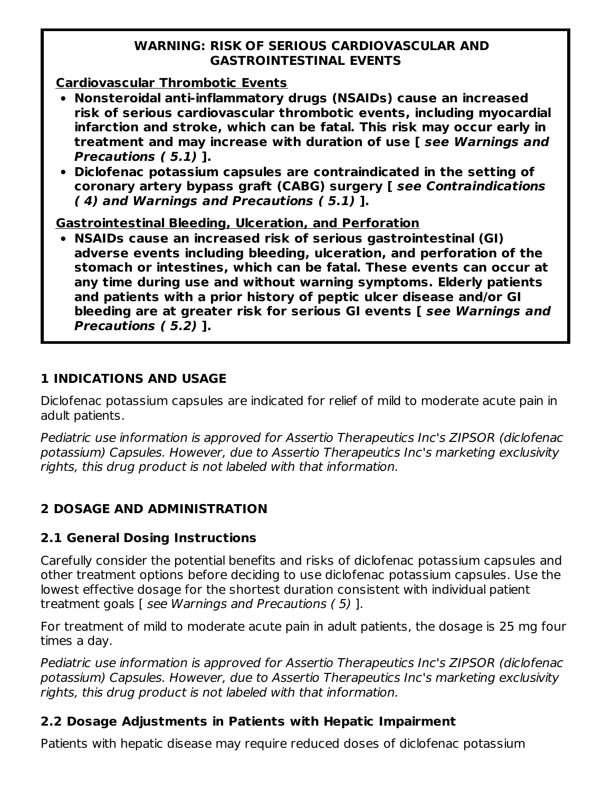#### **WARNING: RISK OF SERIOUS CARDIOVASCULAR AND GASTROINTESTINAL EVENTS**

**Cardiovascular Thrombotic Events**

- **Nonsteroidal anti-inflammatory drugs (NSAIDs) cause an increased risk of serious cardiovascular thrombotic events, including myocardial infarction and stroke, which can be fatal. This risk may occur early in treatment and may increase with duration of use [ see Warnings and Precautions ( 5.1) ].**
- **Diclofenac potassium capsules are contraindicated in the setting of coronary artery bypass graft (CABG) surgery [ see Contraindications ( 4) and Warnings and Precautions ( 5.1) ].**

**Gastrointestinal Bleeding, Ulceration, and Perforation**

**NSAIDs cause an increased risk of serious gastrointestinal (GI) adverse events including bleeding, ulceration, and perforation of the stomach or intestines, which can be fatal. These events can occur at any time during use and without warning symptoms. Elderly patients and patients with a prior history of peptic ulcer disease and/or GI bleeding are at greater risk for serious GI events [ see Warnings and Precautions ( 5.2) ].**

## **1 INDICATIONS AND USAGE**

Diclofenac potassium capsules are indicated for relief of mild to moderate acute pain in adult patients.

Pediatric use information is approved for Assertio Therapeutics Inc's ZIPSOR (diclofenac potassium) Capsules. However, due to Assertio Therapeutics Inc's marketing exclusivity rights, this drug product is not labeled with that information.

# **2 DOSAGE AND ADMINISTRATION**

## **2.1 General Dosing Instructions**

Carefully consider the potential benefits and risks of diclofenac potassium capsules and other treatment options before deciding to use diclofenac potassium capsules. Use the lowest effective dosage for the shortest duration consistent with individual patient treatment goals [ see Warnings and Precautions ( 5) ].

For treatment of mild to moderate acute pain in adult patients, the dosage is 25 mg four times a day.

Pediatric use information is approved for Assertio Therapeutics Inc's ZIPSOR (diclofenac potassium) Capsules. However, due to Assertio Therapeutics Inc's marketing exclusivity rights, this drug product is not labeled with that information.

## **2.2 Dosage Adjustments in Patients with Hepatic Impairment**

Patients with hepatic disease may require reduced doses of diclofenac potassium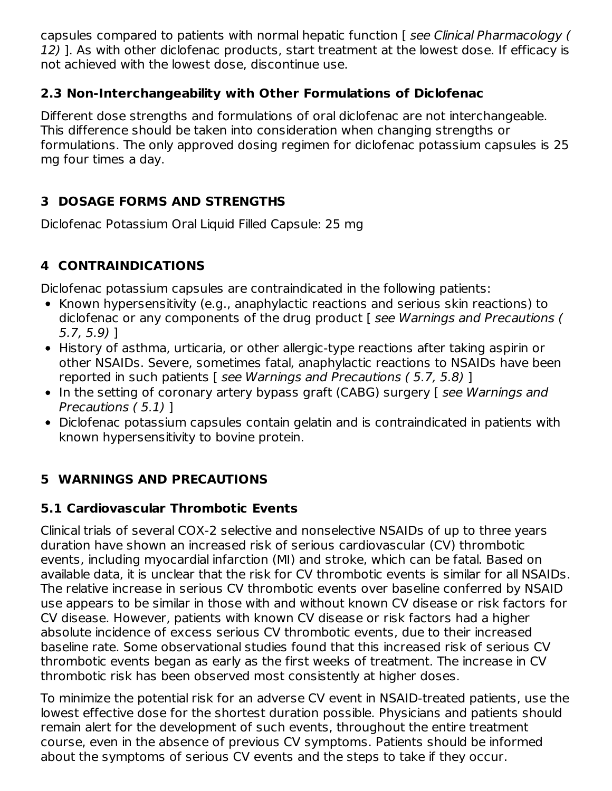capsules compared to patients with normal hepatic function [ see Clinical Pharmacology ( 12) ]. As with other diclofenac products, start treatment at the lowest dose. If efficacy is not achieved with the lowest dose, discontinue use.

## **2.3 Non-Interchangeability with Other Formulations of Diclofenac**

Different dose strengths and formulations of oral diclofenac are not interchangeable. This difference should be taken into consideration when changing strengths or formulations. The only approved dosing regimen for diclofenac potassium capsules is 25 mg four times a day.

# **3 DOSAGE FORMS AND STRENGTHS**

Diclofenac Potassium Oral Liquid Filled Capsule: 25 mg

# **4 CONTRAINDICATIONS**

Diclofenac potassium capsules are contraindicated in the following patients:

- Known hypersensitivity (e.g., anaphylactic reactions and serious skin reactions) to diclofenac or any components of the drug product [ see Warnings and Precautions ( 5.7, 5.9) ]
- History of asthma, urticaria, or other allergic-type reactions after taking aspirin or other NSAIDs. Severe, sometimes fatal, anaphylactic reactions to NSAIDs have been reported in such patients [ see Warnings and Precautions ( 5.7, 5.8) ]
- In the setting of coronary artery bypass graft (CABG) surgery [ see Warnings and Precautions ( 5.1) ]
- Diclofenac potassium capsules contain gelatin and is contraindicated in patients with known hypersensitivity to bovine protein.

# **5 WARNINGS AND PRECAUTIONS**

# **5.1 Cardiovascular Thrombotic Events**

Clinical trials of several COX-2 selective and nonselective NSAIDs of up to three years duration have shown an increased risk of serious cardiovascular (CV) thrombotic events, including myocardial infarction (MI) and stroke, which can be fatal. Based on available data, it is unclear that the risk for CV thrombotic events is similar for all NSAIDs. The relative increase in serious CV thrombotic events over baseline conferred by NSAID use appears to be similar in those with and without known CV disease or risk factors for CV disease. However, patients with known CV disease or risk factors had a higher absolute incidence of excess serious CV thrombotic events, due to their increased baseline rate. Some observational studies found that this increased risk of serious CV thrombotic events began as early as the first weeks of treatment. The increase in CV thrombotic risk has been observed most consistently at higher doses.

To minimize the potential risk for an adverse CV event in NSAID-treated patients, use the lowest effective dose for the shortest duration possible. Physicians and patients should remain alert for the development of such events, throughout the entire treatment course, even in the absence of previous CV symptoms. Patients should be informed about the symptoms of serious CV events and the steps to take if they occur.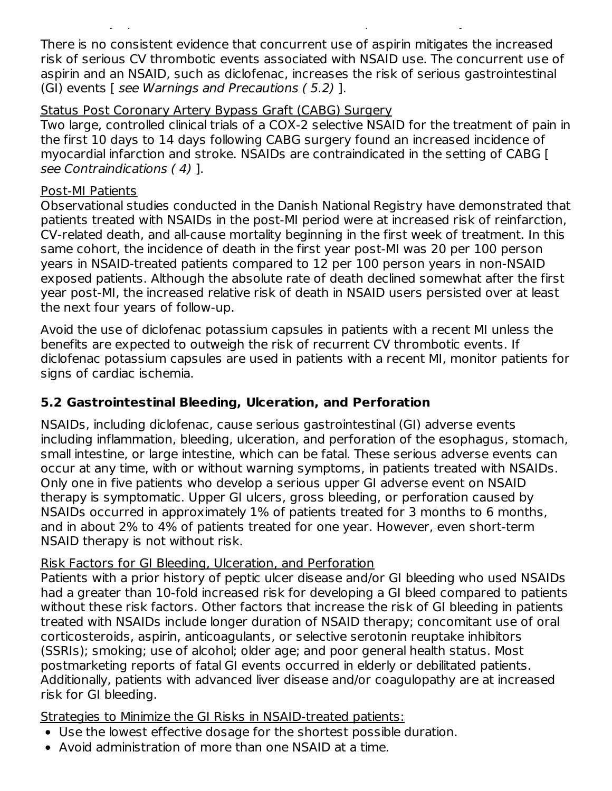There is no consistent evidence that concurrent use of aspirin mitigates the increased risk of serious CV thrombotic events associated with NSAID use. The concurrent use of aspirin and an NSAID, such as diclofenac, increases the risk of serious gastrointestinal (GI) events [ see Warnings and Precautions ( 5.2) ].

about the symptoms of serious CV events and the steps to take if they occur.

## Status Post Coronary Artery Bypass Graft (CABG) Surgery

Two large, controlled clinical trials of a COX-2 selective NSAID for the treatment of pain in the first 10 days to 14 days following CABG surgery found an increased incidence of myocardial infarction and stroke. NSAIDs are contraindicated in the setting of CABG [ see Contraindications ( 4) ].

## Post-MI Patients

Observational studies conducted in the Danish National Registry have demonstrated that patients treated with NSAIDs in the post-MI period were at increased risk of reinfarction, CV-related death, and all-cause mortality beginning in the first week of treatment. In this same cohort, the incidence of death in the first year post-MI was 20 per 100 person years in NSAID-treated patients compared to 12 per 100 person years in non-NSAID exposed patients. Although the absolute rate of death declined somewhat after the first year post-MI, the increased relative risk of death in NSAID users persisted over at least the next four years of follow-up.

Avoid the use of diclofenac potassium capsules in patients with a recent MI unless the benefits are expected to outweigh the risk of recurrent CV thrombotic events. If diclofenac potassium capsules are used in patients with a recent MI, monitor patients for signs of cardiac ischemia.

## **5.2 Gastrointestinal Bleeding, Ulceration, and Perforation**

NSAIDs, including diclofenac, cause serious gastrointestinal (GI) adverse events including inflammation, bleeding, ulceration, and perforation of the esophagus, stomach, small intestine, or large intestine, which can be fatal. These serious adverse events can occur at any time, with or without warning symptoms, in patients treated with NSAIDs. Only one in five patients who develop a serious upper GI adverse event on NSAID therapy is symptomatic. Upper GI ulcers, gross bleeding, or perforation caused by NSAIDs occurred in approximately 1% of patients treated for 3 months to 6 months, and in about 2% to 4% of patients treated for one year. However, even short-term NSAID therapy is not without risk.

## Risk Factors for GI Bleeding, Ulceration, and Perforation

Patients with a prior history of peptic ulcer disease and/or GI bleeding who used NSAIDs had a greater than 10-fold increased risk for developing a GI bleed compared to patients without these risk factors. Other factors that increase the risk of GI bleeding in patients treated with NSAIDs include longer duration of NSAID therapy; concomitant use of oral corticosteroids, aspirin, anticoagulants, or selective serotonin reuptake inhibitors (SSRIs); smoking; use of alcohol; older age; and poor general health status. Most postmarketing reports of fatal GI events occurred in elderly or debilitated patients. Additionally, patients with advanced liver disease and/or coagulopathy are at increased risk for GI bleeding.

Strategies to Minimize the GI Risks in NSAID-treated patients:

- Use the lowest effective dosage for the shortest possible duration.
- Avoid administration of more than one NSAID at a time.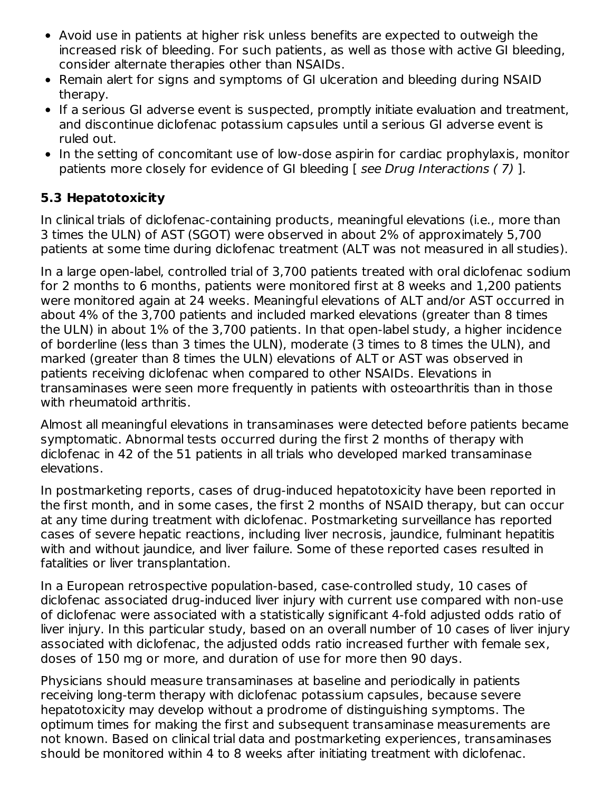- Avoid use in patients at higher risk unless benefits are expected to outweigh the increased risk of bleeding. For such patients, as well as those with active GI bleeding, consider alternate therapies other than NSAIDs.
- Remain alert for signs and symptoms of GI ulceration and bleeding during NSAID therapy.
- If a serious GI adverse event is suspected, promptly initiate evaluation and treatment, and discontinue diclofenac potassium capsules until a serious GI adverse event is ruled out.
- In the setting of concomitant use of low-dose aspirin for cardiac prophylaxis, monitor patients more closely for evidence of GI bleeding [ see Drug Interactions ( 7) ].

# **5.3 Hepatotoxicity**

In clinical trials of diclofenac-containing products, meaningful elevations (i.e., more than 3 times the ULN) of AST (SGOT) were observed in about 2% of approximately 5,700 patients at some time during diclofenac treatment (ALT was not measured in all studies).

In a large open-label, controlled trial of 3,700 patients treated with oral diclofenac sodium for 2 months to 6 months, patients were monitored first at 8 weeks and 1,200 patients were monitored again at 24 weeks. Meaningful elevations of ALT and/or AST occurred in about 4% of the 3,700 patients and included marked elevations (greater than 8 times the ULN) in about 1% of the 3,700 patients. In that open-label study, a higher incidence of borderline (less than 3 times the ULN), moderate (3 times to 8 times the ULN), and marked (greater than 8 times the ULN) elevations of ALT or AST was observed in patients receiving diclofenac when compared to other NSAIDs. Elevations in transaminases were seen more frequently in patients with osteoarthritis than in those with rheumatoid arthritis.

Almost all meaningful elevations in transaminases were detected before patients became symptomatic. Abnormal tests occurred during the first 2 months of therapy with diclofenac in 42 of the 51 patients in all trials who developed marked transaminase elevations.

In postmarketing reports, cases of drug-induced hepatotoxicity have been reported in the first month, and in some cases, the first 2 months of NSAID therapy, but can occur at any time during treatment with diclofenac. Postmarketing surveillance has reported cases of severe hepatic reactions, including liver necrosis, jaundice, fulminant hepatitis with and without jaundice, and liver failure. Some of these reported cases resulted in fatalities or liver transplantation.

In a European retrospective population-based, case-controlled study, 10 cases of diclofenac associated drug-induced liver injury with current use compared with non-use of diclofenac were associated with a statistically significant 4-fold adjusted odds ratio of liver injury. In this particular study, based on an overall number of 10 cases of liver injury associated with diclofenac, the adjusted odds ratio increased further with female sex, doses of 150 mg or more, and duration of use for more then 90 days.

Physicians should measure transaminases at baseline and periodically in patients receiving long-term therapy with diclofenac potassium capsules, because severe hepatotoxicity may develop without a prodrome of distinguishing symptoms. The optimum times for making the first and subsequent transaminase measurements are not known. Based on clinical trial data and postmarketing experiences, transaminases should be monitored within 4 to 8 weeks after initiating treatment with diclofenac.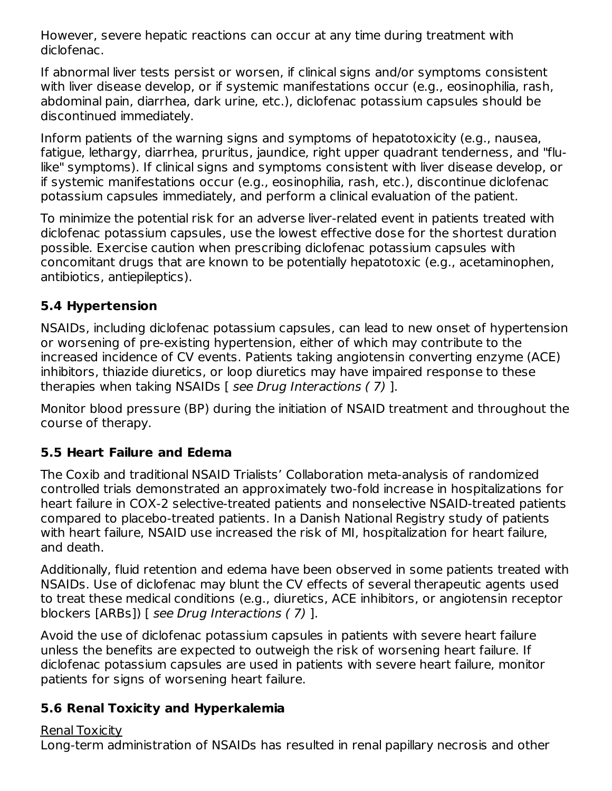However, severe hepatic reactions can occur at any time during treatment with diclofenac.

If abnormal liver tests persist or worsen, if clinical signs and/or symptoms consistent with liver disease develop, or if systemic manifestations occur (e.g., eosinophilia, rash, abdominal pain, diarrhea, dark urine, etc.), diclofenac potassium capsules should be discontinued immediately.

Inform patients of the warning signs and symptoms of hepatotoxicity (e.g., nausea, fatigue, lethargy, diarrhea, pruritus, jaundice, right upper quadrant tenderness, and "flulike" symptoms). If clinical signs and symptoms consistent with liver disease develop, or if systemic manifestations occur (e.g., eosinophilia, rash, etc.), discontinue diclofenac potassium capsules immediately, and perform a clinical evaluation of the patient.

To minimize the potential risk for an adverse liver-related event in patients treated with diclofenac potassium capsules, use the lowest effective dose for the shortest duration possible. Exercise caution when prescribing diclofenac potassium capsules with concomitant drugs that are known to be potentially hepatotoxic (e.g., acetaminophen, antibiotics, antiepileptics).

## **5.4 Hypertension**

NSAIDs, including diclofenac potassium capsules, can lead to new onset of hypertension or worsening of pre-existing hypertension, either of which may contribute to the increased incidence of CV events. Patients taking angiotensin converting enzyme (ACE) inhibitors, thiazide diuretics, or loop diuretics may have impaired response to these therapies when taking NSAIDs [ see Drug Interactions ( 7) ].

Monitor blood pressure (BP) during the initiation of NSAID treatment and throughout the course of therapy.

## **5.5 Heart Failure and Edema**

The Coxib and traditional NSAID Trialists' Collaboration meta-analysis of randomized controlled trials demonstrated an approximately two-fold increase in hospitalizations for heart failure in COX-2 selective-treated patients and nonselective NSAID-treated patients compared to placebo-treated patients. In a Danish National Registry study of patients with heart failure, NSAID use increased the risk of MI, hospitalization for heart failure, and death.

Additionally, fluid retention and edema have been observed in some patients treated with NSAIDs. Use of diclofenac may blunt the CV effects of several therapeutic agents used to treat these medical conditions (e.g., diuretics, ACE inhibitors, or angiotensin receptor blockers [ARBs]) [ see Drug Interactions ( 7) ].

Avoid the use of diclofenac potassium capsules in patients with severe heart failure unless the benefits are expected to outweigh the risk of worsening heart failure. If diclofenac potassium capsules are used in patients with severe heart failure, monitor patients for signs of worsening heart failure.

## **5.6 Renal Toxicity and Hyperkalemia**

## Renal Toxicity

Long-term administration of NSAIDs has resulted in renal papillary necrosis and other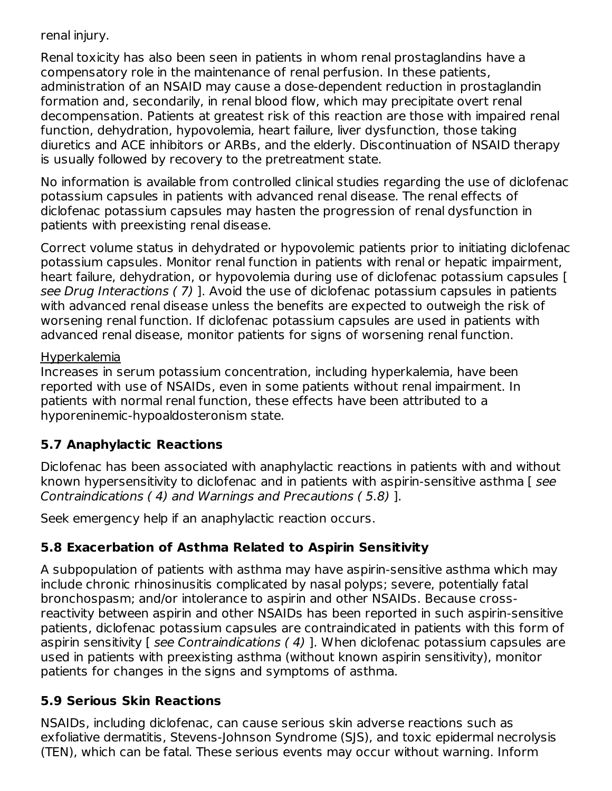renal injury.

Renal toxicity has also been seen in patients in whom renal prostaglandins have a compensatory role in the maintenance of renal perfusion. In these patients, administration of an NSAID may cause a dose-dependent reduction in prostaglandin formation and, secondarily, in renal blood flow, which may precipitate overt renal decompensation. Patients at greatest risk of this reaction are those with impaired renal function, dehydration, hypovolemia, heart failure, liver dysfunction, those taking diuretics and ACE inhibitors or ARBs, and the elderly. Discontinuation of NSAID therapy is usually followed by recovery to the pretreatment state.

No information is available from controlled clinical studies regarding the use of diclofenac potassium capsules in patients with advanced renal disease. The renal effects of diclofenac potassium capsules may hasten the progression of renal dysfunction in patients with preexisting renal disease.

Correct volume status in dehydrated or hypovolemic patients prior to initiating diclofenac potassium capsules. Monitor renal function in patients with renal or hepatic impairment, heart failure, dehydration, or hypovolemia during use of diclofenac potassium capsules [ see Drug Interactions ( 7) ]. Avoid the use of diclofenac potassium capsules in patients with advanced renal disease unless the benefits are expected to outweigh the risk of worsening renal function. If diclofenac potassium capsules are used in patients with advanced renal disease, monitor patients for signs of worsening renal function.

## Hyperkalemia

Increases in serum potassium concentration, including hyperkalemia, have been reported with use of NSAIDs, even in some patients without renal impairment. In patients with normal renal function, these effects have been attributed to a hyporeninemic-hypoaldosteronism state.

# **5.7 Anaphylactic Reactions**

Diclofenac has been associated with anaphylactic reactions in patients with and without known hypersensitivity to diclofenac and in patients with aspirin-sensitive asthma [ see Contraindications ( 4) and Warnings and Precautions ( 5.8) ].

Seek emergency help if an anaphylactic reaction occurs.

# **5.8 Exacerbation of Asthma Related to Aspirin Sensitivity**

A subpopulation of patients with asthma may have aspirin-sensitive asthma which may include chronic rhinosinusitis complicated by nasal polyps; severe, potentially fatal bronchospasm; and/or intolerance to aspirin and other NSAIDs. Because crossreactivity between aspirin and other NSAIDs has been reported in such aspirin-sensitive patients, diclofenac potassium capsules are contraindicated in patients with this form of aspirin sensitivity [ see Contraindications (4) ]. When diclofenac potassium capsules are used in patients with preexisting asthma (without known aspirin sensitivity), monitor patients for changes in the signs and symptoms of asthma.

## **5.9 Serious Skin Reactions**

NSAIDs, including diclofenac, can cause serious skin adverse reactions such as exfoliative dermatitis, Stevens-Johnson Syndrome (SJS), and toxic epidermal necrolysis (TEN), which can be fatal. These serious events may occur without warning. Inform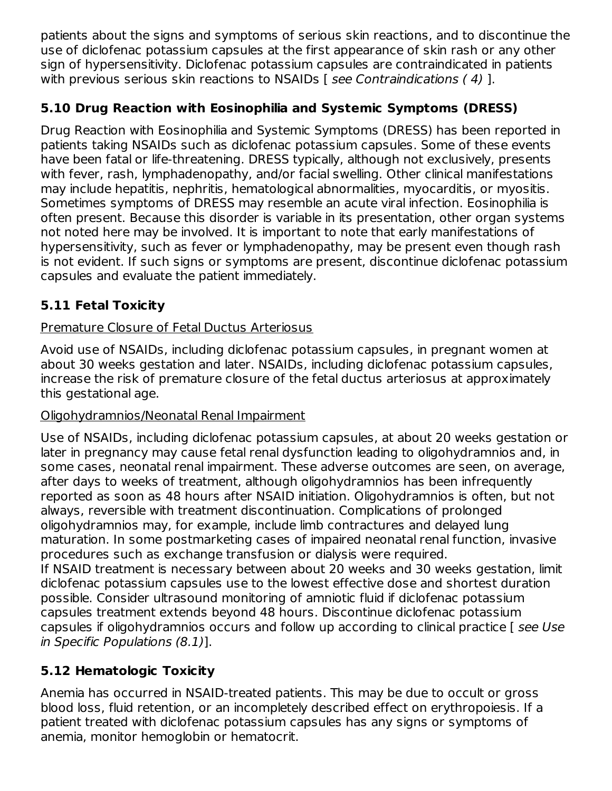patients about the signs and symptoms of serious skin reactions, and to discontinue the use of diclofenac potassium capsules at the first appearance of skin rash or any other sign of hypersensitivity. Diclofenac potassium capsules are contraindicated in patients with previous serious skin reactions to NSAIDs [ see Contraindications (4) ].

# **5.10 Drug Reaction with Eosinophilia and Systemic Symptoms (DRESS)**

Drug Reaction with Eosinophilia and Systemic Symptoms (DRESS) has been reported in patients taking NSAIDs such as diclofenac potassium capsules. Some of these events have been fatal or life-threatening. DRESS typically, although not exclusively, presents with fever, rash, lymphadenopathy, and/or facial swelling. Other clinical manifestations may include hepatitis, nephritis, hematological abnormalities, myocarditis, or myositis. Sometimes symptoms of DRESS may resemble an acute viral infection. Eosinophilia is often present. Because this disorder is variable in its presentation, other organ systems not noted here may be involved. It is important to note that early manifestations of hypersensitivity, such as fever or lymphadenopathy, may be present even though rash is not evident. If such signs or symptoms are present, discontinue diclofenac potassium capsules and evaluate the patient immediately.

# **5.11 Fetal Toxicity**

# Premature Closure of Fetal Ductus Arteriosus

Avoid use of NSAIDs, including diclofenac potassium capsules, in pregnant women at about 30 weeks gestation and later. NSAIDs, including diclofenac potassium capsules, increase the risk of premature closure of the fetal ductus arteriosus at approximately this gestational age.

## Oligohydramnios/Neonatal Renal Impairment

Use of NSAIDs, including diclofenac potassium capsules, at about 20 weeks gestation or later in pregnancy may cause fetal renal dysfunction leading to oligohydramnios and, in some cases, neonatal renal impairment. These adverse outcomes are seen, on average, after days to weeks of treatment, although oligohydramnios has been infrequently reported as soon as 48 hours after NSAID initiation. Oligohydramnios is often, but not always, reversible with treatment discontinuation. Complications of prolonged oligohydramnios may, for example, include limb contractures and delayed lung maturation. In some postmarketing cases of impaired neonatal renal function, invasive procedures such as exchange transfusion or dialysis were required.

If NSAID treatment is necessary between about 20 weeks and 30 weeks gestation, limit diclofenac potassium capsules use to the lowest effective dose and shortest duration possible. Consider ultrasound monitoring of amniotic fluid if diclofenac potassium capsules treatment extends beyond 48 hours. Discontinue diclofenac potassium capsules if oligohydramnios occurs and follow up according to clinical practice [ see Use in Specific Populations (8.1)].

# **5.12 Hematologic Toxicity**

Anemia has occurred in NSAID-treated patients. This may be due to occult or gross blood loss, fluid retention, or an incompletely described effect on erythropoiesis. If a patient treated with diclofenac potassium capsules has any signs or symptoms of anemia, monitor hemoglobin or hematocrit.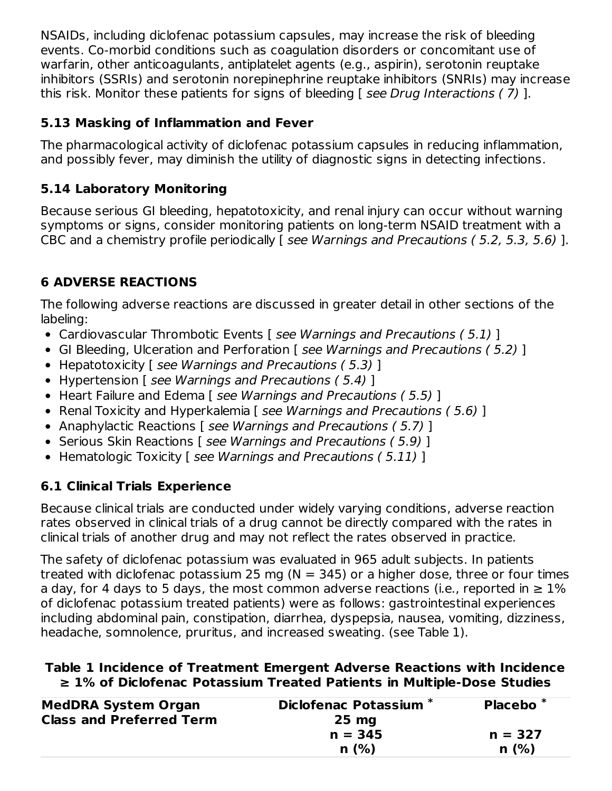NSAIDs, including diclofenac potassium capsules, may increase the risk of bleeding events. Co-morbid conditions such as coagulation disorders or concomitant use of warfarin, other anticoagulants, antiplatelet agents (e.g., aspirin), serotonin reuptake inhibitors (SSRIs) and serotonin norepinephrine reuptake inhibitors (SNRIs) may increase this risk. Monitor these patients for signs of bleeding [ see Drug Interactions (7) ].

# **5.13 Masking of Inflammation and Fever**

The pharmacological activity of diclofenac potassium capsules in reducing inflammation, and possibly fever, may diminish the utility of diagnostic signs in detecting infections.

# **5.14 Laboratory Monitoring**

Because serious GI bleeding, hepatotoxicity, and renal injury can occur without warning symptoms or signs, consider monitoring patients on long-term NSAID treatment with a CBC and a chemistry profile periodically [ see Warnings and Precautions ( 5.2, 5.3, 5.6) ].

# **6 ADVERSE REACTIONS**

The following adverse reactions are discussed in greater detail in other sections of the labeling:

- Cardiovascular Thrombotic Events [ see Warnings and Precautions (5.1) ]
- GI Bleeding, Ulceration and Perforation [see Warnings and Precautions (5.2)]
- Hepatotoxicity [ see Warnings and Precautions (5.3) ]
- Hypertension [ see Warnings and Precautions (5.4) ]
- Heart Failure and Edema [ see Warnings and Precautions (5.5) ]
- Renal Toxicity and Hyperkalemia [ see Warnings and Precautions (5.6) ]
- Anaphylactic Reactions [ see Warnings and Precautions (5.7) ]
- Serious Skin Reactions [ see Warnings and Precautions (5.9) ]
- Hematologic Toxicity [ see Warnings and Precautions  $(5.11)$  ]

# **6.1 Clinical Trials Experience**

Because clinical trials are conducted under widely varying conditions, adverse reaction rates observed in clinical trials of a drug cannot be directly compared with the rates in clinical trials of another drug and may not reflect the rates observed in practice.

The safety of diclofenac potassium was evaluated in 965 adult subjects. In patients treated with diclofenac potassium 25 mg ( $N = 345$ ) or a higher dose, three or four times a day, for 4 days to 5 days, the most common adverse reactions (i.e., reported in  $\geq 1\%$ of diclofenac potassium treated patients) were as follows: gastrointestinal experiences including abdominal pain, constipation, diarrhea, dyspepsia, nausea, vomiting, dizziness, headache, somnolence, pruritus, and increased sweating. (see Table 1).

## **Table 1 Incidence of Treatment Emergent Adverse Reactions with Incidence ≥ 1% of Diclofenac Potassium Treated Patients in Multiple-Dose Studies**

| <b>MedDRA System Organ</b>      | Diclofenac Potassium <sup>*</sup> | Placebo $*$ |
|---------------------------------|-----------------------------------|-------------|
| <b>Class and Preferred Term</b> | $25 \text{ mg}$                   |             |
|                                 | $n = 345$                         | $n = 327$   |
|                                 | n(%)                              | n(%)        |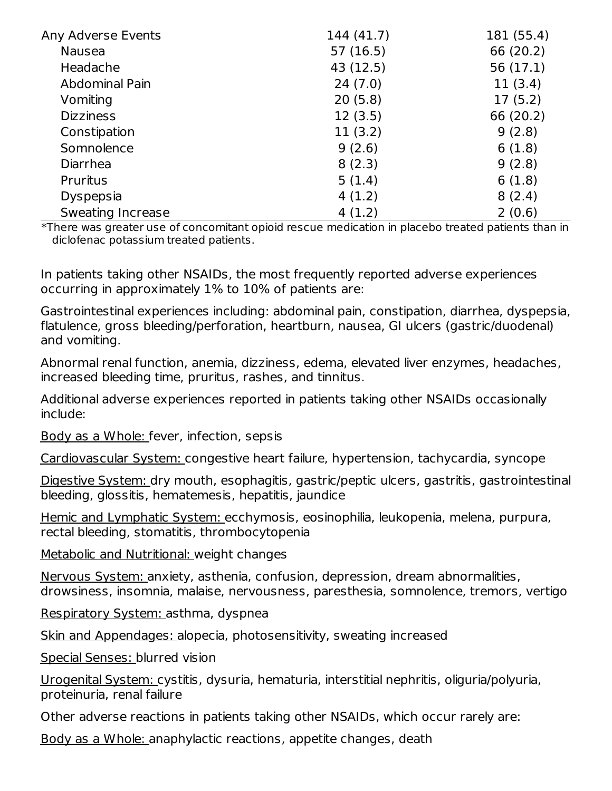| <b>Any Adverse Events</b> | 144 (41.7) | 181 (55.4) |
|---------------------------|------------|------------|
| <b>Nausea</b>             | 57 (16.5)  | 66 (20.2)  |
| Headache                  | 43 (12.5)  | 56 (17.1)  |
| Abdominal Pain            | 24(7.0)    | 11(3.4)    |
| Vomiting                  | 20(5.8)    | 17(5.2)    |
| <b>Dizziness</b>          | 12(3.5)    | 66 (20.2)  |
| Constipation              | 11(3.2)    | 9(2.8)     |
| Somnolence                | 9(2.6)     | 6(1.8)     |
| Diarrhea                  | 8(2.3)     | 9(2.8)     |
| <b>Pruritus</b>           | 5(1.4)     | 6(1.8)     |
| <b>Dyspepsia</b>          | 4(1.2)     | 8(2.4)     |
| Sweating Increase         | 4(1.2)     | 2(0.6)     |

\*There was greater use of concomitant opioid rescue medication in placebo treated patients than in diclofenac potassium treated patients.

In patients taking other NSAIDs, the most frequently reported adverse experiences occurring in approximately 1% to 10% of patients are:

Gastrointestinal experiences including: abdominal pain, constipation, diarrhea, dyspepsia, flatulence, gross bleeding/perforation, heartburn, nausea, GI ulcers (gastric/duodenal) and vomiting.

Abnormal renal function, anemia, dizziness, edema, elevated liver enzymes, headaches, increased bleeding time, pruritus, rashes, and tinnitus.

Additional adverse experiences reported in patients taking other NSAIDs occasionally include:

Body as a Whole: fever, infection, sepsis

Cardiovascular System: congestive heart failure, hypertension, tachycardia, syncope

Digestive System: dry mouth, esophagitis, gastric/peptic ulcers, gastritis, gastrointestinal bleeding, glossitis, hematemesis, hepatitis, jaundice

Hemic and Lymphatic System: ecchymosis, eosinophilia, leukopenia, melena, purpura, rectal bleeding, stomatitis, thrombocytopenia

Metabolic and Nutritional: weight changes

Nervous System: anxiety, asthenia, confusion, depression, dream abnormalities, drowsiness, insomnia, malaise, nervousness, paresthesia, somnolence, tremors, vertigo

Respiratory System: asthma, dyspnea

Skin and Appendages: alopecia, photosensitivity, sweating increased

Special Senses: blurred vision

Urogenital System: cystitis, dysuria, hematuria, interstitial nephritis, oliguria/polyuria, proteinuria, renal failure

Other adverse reactions in patients taking other NSAIDs, which occur rarely are:

Body as a Whole: anaphylactic reactions, appetite changes, death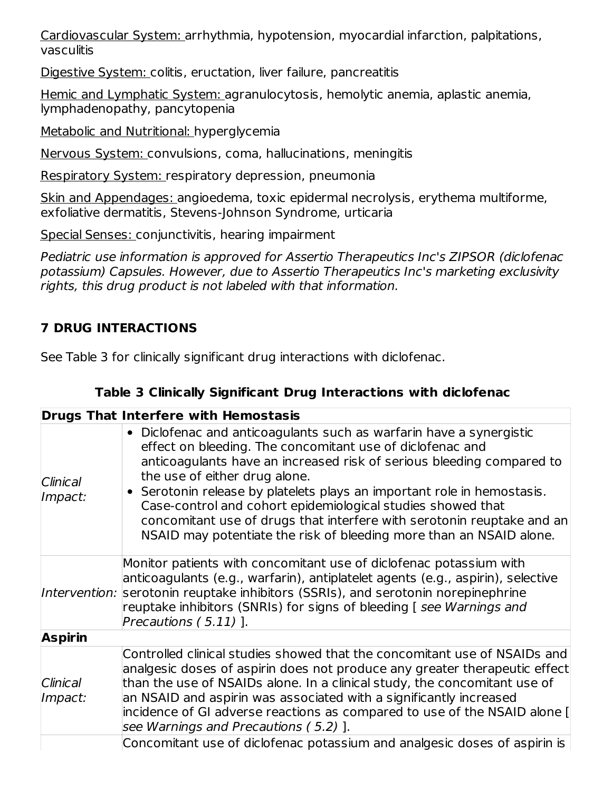Cardiovascular System: arrhythmia, hypotension, myocardial infarction, palpitations, vasculitis

Digestive System: colitis, eructation, liver failure, pancreatitis

Hemic and Lymphatic System: agranulocytosis, hemolytic anemia, aplastic anemia, lymphadenopathy, pancytopenia

Metabolic and Nutritional: hyperglycemia

Nervous System: convulsions, coma, hallucinations, meningitis

Respiratory System: respiratory depression, pneumonia

Skin and Appendages: angioedema, toxic epidermal necrolysis, erythema multiforme, exfoliative dermatitis, Stevens-Johnson Syndrome, urticaria

Special Senses: conjunctivitis, hearing impairment

Pediatric use information is approved for Assertio Therapeutics Inc's ZIPSOR (diclofenac potassium) Capsules. However, due to Assertio Therapeutics Inc's marketing exclusivity rights, this drug product is not labeled with that information.

# **7 DRUG INTERACTIONS**

See Table 3 for clinically significant drug interactions with diclofenac.

| <b>Drugs That Interfere with Hemostasis</b>                                                                                                                                                                                                                                                                                                 |                                                                                                                                                                                                                                                                                                                                                                                                                                                                                                                                     |  |  |  |  |
|---------------------------------------------------------------------------------------------------------------------------------------------------------------------------------------------------------------------------------------------------------------------------------------------------------------------------------------------|-------------------------------------------------------------------------------------------------------------------------------------------------------------------------------------------------------------------------------------------------------------------------------------------------------------------------------------------------------------------------------------------------------------------------------------------------------------------------------------------------------------------------------------|--|--|--|--|
| Clinical<br>Impact:                                                                                                                                                                                                                                                                                                                         | • Diclofenac and anticoagulants such as warfarin have a synergistic<br>effect on bleeding. The concomitant use of diclofenac and<br>anticoagulants have an increased risk of serious bleeding compared to<br>the use of either drug alone.<br>Serotonin release by platelets plays an important role in hemostasis.<br>Case-control and cohort epidemiological studies showed that<br>concomitant use of drugs that interfere with serotonin reuptake and an<br>NSAID may potentiate the risk of bleeding more than an NSAID alone. |  |  |  |  |
| Monitor patients with concomitant use of diclofenac potassium with<br>anticoagulants (e.g., warfarin), antiplatelet agents (e.g., aspirin), selective<br>Intervention: serotonin reuptake inhibitors (SSRIs), and serotonin norepinephrine<br>reuptake inhibitors (SNRIs) for signs of bleeding [ see Warnings and<br>Precautions (5.11) ]. |                                                                                                                                                                                                                                                                                                                                                                                                                                                                                                                                     |  |  |  |  |
| <b>Aspirin</b>                                                                                                                                                                                                                                                                                                                              |                                                                                                                                                                                                                                                                                                                                                                                                                                                                                                                                     |  |  |  |  |
| Clinical<br>Impact:                                                                                                                                                                                                                                                                                                                         | Controlled clinical studies showed that the concomitant use of NSAIDs and<br>analgesic doses of aspirin does not produce any greater therapeutic effect<br>than the use of NSAIDs alone. In a clinical study, the concomitant use of<br>an NSAID and aspirin was associated with a significantly increased<br>incidence of GI adverse reactions as compared to use of the NSAID alone [<br>see Warnings and Precautions (5.2)].                                                                                                     |  |  |  |  |
|                                                                                                                                                                                                                                                                                                                                             | Concomitant use of diclofenac potassium and analgesic doses of aspirin is                                                                                                                                                                                                                                                                                                                                                                                                                                                           |  |  |  |  |

## **Table 3 Clinically Significant Drug Interactions with diclofenac**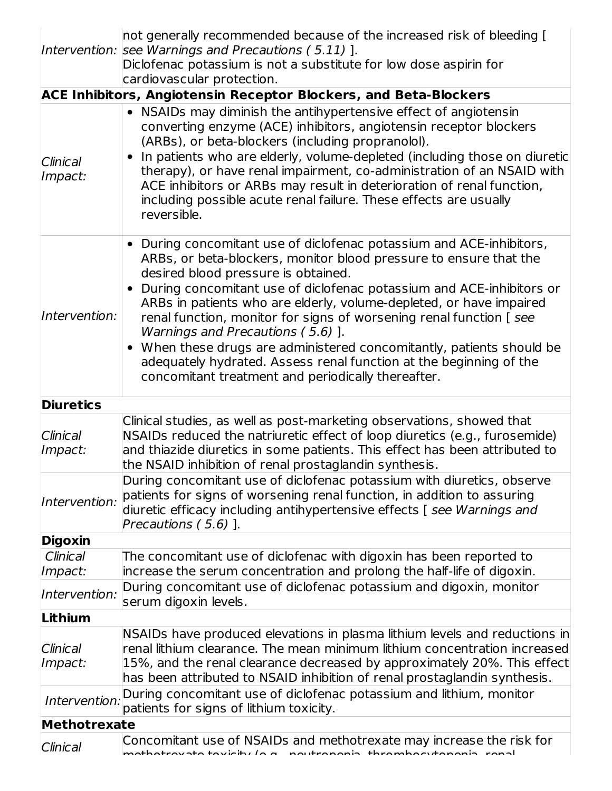|                                      | not generally recommended because of the increased risk of bleeding [<br>Intervention: see Warnings and Precautions (5.11)].<br>Diclofenac potassium is not a substitute for low dose aspirin for<br>cardiovascular protection.                                                                                                                                                                                                                                                                                                                                                                                                                            |
|--------------------------------------|------------------------------------------------------------------------------------------------------------------------------------------------------------------------------------------------------------------------------------------------------------------------------------------------------------------------------------------------------------------------------------------------------------------------------------------------------------------------------------------------------------------------------------------------------------------------------------------------------------------------------------------------------------|
|                                      | <b>ACE Inhibitors, Angiotensin Receptor Blockers, and Beta-Blockers</b>                                                                                                                                                                                                                                                                                                                                                                                                                                                                                                                                                                                    |
| Clinical<br>Impact:                  | • NSAIDs may diminish the antihypertensive effect of angiotensin<br>converting enzyme (ACE) inhibitors, angiotensin receptor blockers<br>(ARBs), or beta-blockers (including propranolol).<br>In patients who are elderly, volume-depleted (including those on diuretic<br>therapy), or have renal impairment, co-administration of an NSAID with<br>ACE inhibitors or ARBs may result in deterioration of renal function,<br>including possible acute renal failure. These effects are usually<br>reversible.                                                                                                                                             |
| Intervention:                        | During concomitant use of diclofenac potassium and ACE-inhibitors,<br>$\bullet$<br>ARBs, or beta-blockers, monitor blood pressure to ensure that the<br>desired blood pressure is obtained.<br>During concomitant use of diclofenac potassium and ACE-inhibitors or<br>ARBs in patients who are elderly, volume-depleted, or have impaired<br>renal function, monitor for signs of worsening renal function [ see<br>Warnings and Precautions (5.6)].<br>• When these drugs are administered concomitantly, patients should be<br>adequately hydrated. Assess renal function at the beginning of the<br>concomitant treatment and periodically thereafter. |
| <b>Diuretics</b>                     |                                                                                                                                                                                                                                                                                                                                                                                                                                                                                                                                                                                                                                                            |
| Clinical<br>Impact:                  | Clinical studies, as well as post-marketing observations, showed that<br>NSAIDs reduced the natriuretic effect of loop diuretics (e.g., furosemide)<br>and thiazide diuretics in some patients. This effect has been attributed to<br>the NSAID inhibition of renal prostaglandin synthesis.                                                                                                                                                                                                                                                                                                                                                               |
| Intervention:                        | During concomitant use of diclofenac potassium with diuretics, observe<br>patients for signs of worsening renal function, in addition to assuring<br>diuretic efficacy including antihypertensive effects [ see Warnings and<br>Precautions $(5.6)$ ].                                                                                                                                                                                                                                                                                                                                                                                                     |
| <b>Digoxin</b>                       |                                                                                                                                                                                                                                                                                                                                                                                                                                                                                                                                                                                                                                                            |
| Clinical                             | The concomitant use of diclofenac with digoxin has been reported to                                                                                                                                                                                                                                                                                                                                                                                                                                                                                                                                                                                        |
| Impact:                              | increase the serum concentration and prolong the half-life of digoxin.                                                                                                                                                                                                                                                                                                                                                                                                                                                                                                                                                                                     |
| Intervention:                        | During concomitant use of diclofenac potassium and digoxin, monitor<br>serum digoxin levels.                                                                                                                                                                                                                                                                                                                                                                                                                                                                                                                                                               |
| Lithium                              |                                                                                                                                                                                                                                                                                                                                                                                                                                                                                                                                                                                                                                                            |
| Clinical<br>Impact:<br>Intervention: | NSAIDs have produced elevations in plasma lithium levels and reductions in<br>renal lithium clearance. The mean minimum lithium concentration increased<br>15%, and the renal clearance decreased by approximately 20%. This effect<br>has been attributed to NSAID inhibition of renal prostaglandin synthesis.<br>During concomitant use of diclofenac potassium and lithium, monitor<br>patients for signs of lithium toxicity.                                                                                                                                                                                                                         |
| <b>Methotrexate</b>                  |                                                                                                                                                                                                                                                                                                                                                                                                                                                                                                                                                                                                                                                            |
| Clinical                             | Concomitant use of NSAIDs and methotrexate may increase the risk for<br>mothatrovata tavicity (a.g. noutranonia thramhacutanonia ronal                                                                                                                                                                                                                                                                                                                                                                                                                                                                                                                     |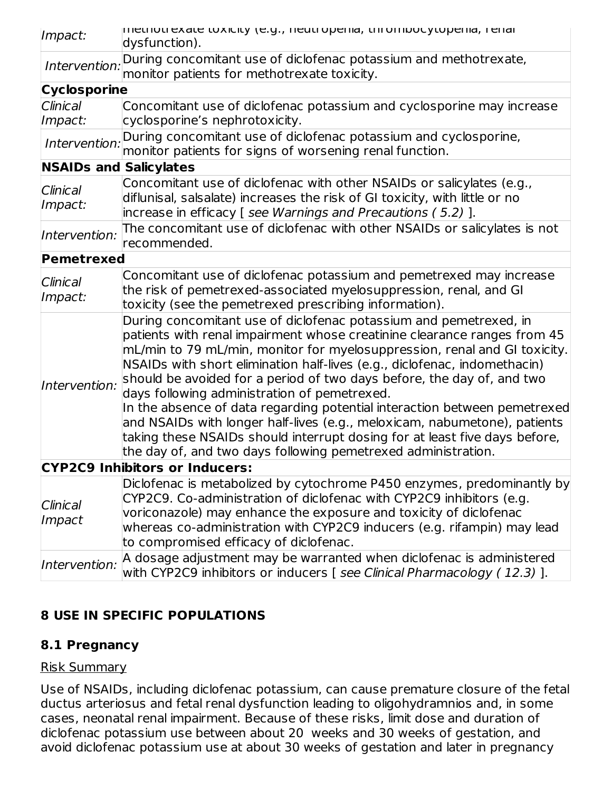| Impact:                                                                                                                                                                                                                                                                                                                                                               | וווכּנווטנו כאמנכ נטאוטונץ (פ.ט., ווכּטנו טpפווומ, נווו טווווטט אַנטpדוומ, דפוומו<br>dysfunction).                                                                                                                                                                                                                                                                                                                                                                                                                                                                                                                                                                                                                                         |  |  |  |  |
|-----------------------------------------------------------------------------------------------------------------------------------------------------------------------------------------------------------------------------------------------------------------------------------------------------------------------------------------------------------------------|--------------------------------------------------------------------------------------------------------------------------------------------------------------------------------------------------------------------------------------------------------------------------------------------------------------------------------------------------------------------------------------------------------------------------------------------------------------------------------------------------------------------------------------------------------------------------------------------------------------------------------------------------------------------------------------------------------------------------------------------|--|--|--|--|
| Intervention:                                                                                                                                                                                                                                                                                                                                                         | During concomitant use of diclofenac potassium and methotrexate,<br>monitor patients for methotrexate toxicity.                                                                                                                                                                                                                                                                                                                                                                                                                                                                                                                                                                                                                            |  |  |  |  |
| <b>Cyclosporine</b>                                                                                                                                                                                                                                                                                                                                                   |                                                                                                                                                                                                                                                                                                                                                                                                                                                                                                                                                                                                                                                                                                                                            |  |  |  |  |
| Clinical<br>Impact:                                                                                                                                                                                                                                                                                                                                                   | Concomitant use of diclofenac potassium and cyclosporine may increase<br>cyclosporine's nephrotoxicity.                                                                                                                                                                                                                                                                                                                                                                                                                                                                                                                                                                                                                                    |  |  |  |  |
| Intervention:                                                                                                                                                                                                                                                                                                                                                         | During concomitant use of diclofenac potassium and cyclosporine,<br>monitor patients for signs of worsening renal function.                                                                                                                                                                                                                                                                                                                                                                                                                                                                                                                                                                                                                |  |  |  |  |
| <b>NSAIDs and Salicylates</b>                                                                                                                                                                                                                                                                                                                                         |                                                                                                                                                                                                                                                                                                                                                                                                                                                                                                                                                                                                                                                                                                                                            |  |  |  |  |
| Clinical<br>Impact:                                                                                                                                                                                                                                                                                                                                                   | Concomitant use of diclofenac with other NSAIDs or salicylates (e.g.,<br>diflunisal, salsalate) increases the risk of GI toxicity, with little or no<br>increase in efficacy [ see Warnings and Precautions (5.2) ].                                                                                                                                                                                                                                                                                                                                                                                                                                                                                                                       |  |  |  |  |
| Intervention:                                                                                                                                                                                                                                                                                                                                                         | The concomitant use of diclofenac with other NSAIDs or salicylates is not<br>recommended.                                                                                                                                                                                                                                                                                                                                                                                                                                                                                                                                                                                                                                                  |  |  |  |  |
| Pemetrexed                                                                                                                                                                                                                                                                                                                                                            |                                                                                                                                                                                                                                                                                                                                                                                                                                                                                                                                                                                                                                                                                                                                            |  |  |  |  |
| Clinical<br>Impact:                                                                                                                                                                                                                                                                                                                                                   | Concomitant use of diclofenac potassium and pemetrexed may increase<br>the risk of pemetrexed-associated myelosuppression, renal, and GI<br>toxicity (see the pemetrexed prescribing information).                                                                                                                                                                                                                                                                                                                                                                                                                                                                                                                                         |  |  |  |  |
| Intervention:                                                                                                                                                                                                                                                                                                                                                         | During concomitant use of diclofenac potassium and pemetrexed, in<br>patients with renal impairment whose creatinine clearance ranges from 45<br>mL/min to 79 mL/min, monitor for myelosuppression, renal and GI toxicity.<br>NSAIDs with short elimination half-lives (e.g., diclofenac, indomethacin)<br>should be avoided for a period of two days before, the day of, and two<br>days following administration of pemetrexed.<br>In the absence of data regarding potential interaction between pemetrexed<br>and NSAIDs with longer half-lives (e.g., meloxicam, nabumetone), patients<br>taking these NSAIDs should interrupt dosing for at least five days before,<br>the day of, and two days following pemetrexed administration. |  |  |  |  |
|                                                                                                                                                                                                                                                                                                                                                                       | <b>CYP2C9 Inhibitors or Inducers:</b>                                                                                                                                                                                                                                                                                                                                                                                                                                                                                                                                                                                                                                                                                                      |  |  |  |  |
| Diclofenac is metabolized by cytochrome P450 enzymes, predominantly by<br>CYP2C9. Co-administration of diclofenac with CYP2C9 inhibitors (e.g.<br>Clinical<br>voriconazole) may enhance the exposure and toxicity of diclofenac<br><i>Impact</i><br>whereas co-administration with CYP2C9 inducers (e.g. rifampin) may lead<br>to compromised efficacy of diclofenac. |                                                                                                                                                                                                                                                                                                                                                                                                                                                                                                                                                                                                                                                                                                                                            |  |  |  |  |
| Intervention:                                                                                                                                                                                                                                                                                                                                                         | A dosage adjustment may be warranted when diclofenac is administered<br>with CYP2C9 inhibitors or inducers [ see Clinical Pharmacology (12.3) ].                                                                                                                                                                                                                                                                                                                                                                                                                                                                                                                                                                                           |  |  |  |  |

## **8 USE IN SPECIFIC POPULATIONS**

## **8.1 Pregnancy**

#### Risk Summary

Use of NSAIDs, including diclofenac potassium, can cause premature closure of the fetal ductus arteriosus and fetal renal dysfunction leading to oligohydramnios and, in some cases, neonatal renal impairment. Because of these risks, limit dose and duration of diclofenac potassium use between about 20 weeks and 30 weeks of gestation, and avoid diclofenac potassium use at about 30 weeks of gestation and later in pregnancy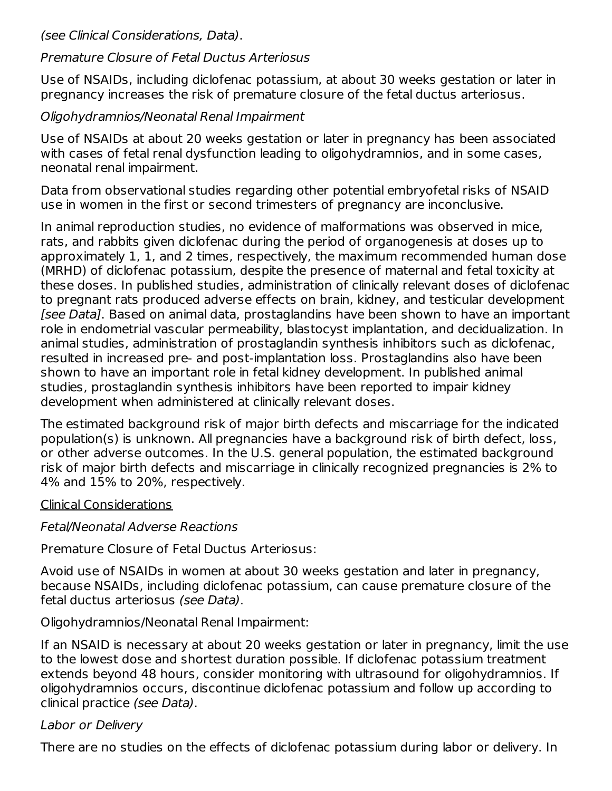## (see Clinical Considerations, Data).

## Premature Closure of Fetal Ductus Arteriosus

Use of NSAIDs, including diclofenac potassium, at about 30 weeks gestation or later in pregnancy increases the risk of premature closure of the fetal ductus arteriosus.

## Oligohydramnios/Neonatal Renal Impairment

Use of NSAIDs at about 20 weeks gestation or later in pregnancy has been associated with cases of fetal renal dysfunction leading to oligohydramnios, and in some cases, neonatal renal impairment.

Data from observational studies regarding other potential embryofetal risks of NSAID use in women in the first or second trimesters of pregnancy are inconclusive.

In animal reproduction studies, no evidence of malformations was observed in mice, rats, and rabbits given diclofenac during the period of organogenesis at doses up to approximately 1, 1, and 2 times, respectively, the maximum recommended human dose (MRHD) of diclofenac potassium, despite the presence of maternal and fetal toxicity at these doses. In published studies, administration of clinically relevant doses of diclofenac to pregnant rats produced adverse effects on brain, kidney, and testicular development [see Data]. Based on animal data, prostaglandins have been shown to have an important role in endometrial vascular permeability, blastocyst implantation, and decidualization. In animal studies, administration of prostaglandin synthesis inhibitors such as diclofenac, resulted in increased pre- and post-implantation loss. Prostaglandins also have been shown to have an important role in fetal kidney development. In published animal studies, prostaglandin synthesis inhibitors have been reported to impair kidney development when administered at clinically relevant doses.

The estimated background risk of major birth defects and miscarriage for the indicated population(s) is unknown. All pregnancies have a background risk of birth defect, loss, or other adverse outcomes. In the U.S. general population, the estimated background risk of major birth defects and miscarriage in clinically recognized pregnancies is 2% to 4% and 15% to 20%, respectively.

## Clinical Considerations

## Fetal/Neonatal Adverse Reactions

Premature Closure of Fetal Ductus Arteriosus:

Avoid use of NSAIDs in women at about 30 weeks gestation and later in pregnancy, because NSAIDs, including diclofenac potassium, can cause premature closure of the fetal ductus arteriosus (see Data).

## Oligohydramnios/Neonatal Renal Impairment:

If an NSAID is necessary at about 20 weeks gestation or later in pregnancy, limit the use to the lowest dose and shortest duration possible. If diclofenac potassium treatment extends beyond 48 hours, consider monitoring with ultrasound for oligohydramnios. If oligohydramnios occurs, discontinue diclofenac potassium and follow up according to clinical practice (see Data).

## Labor or Delivery

There are no studies on the effects of diclofenac potassium during labor or delivery. In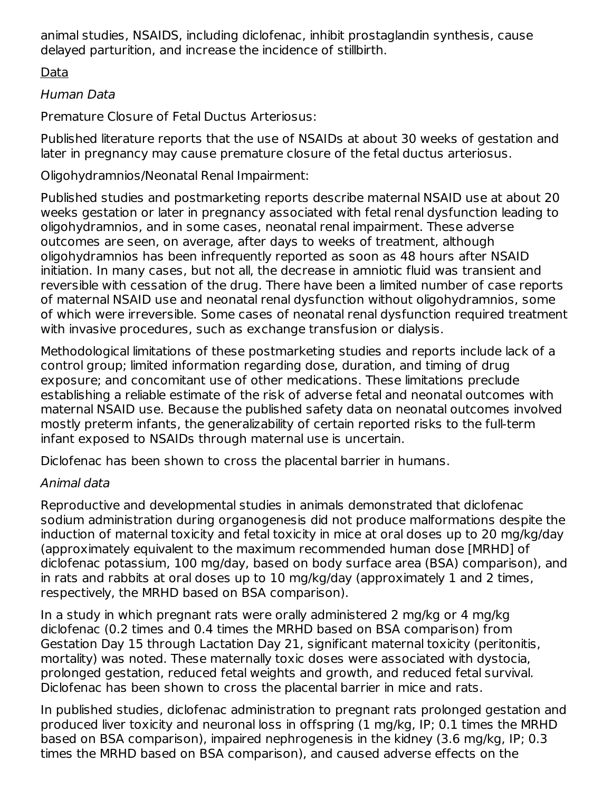animal studies, NSAIDS, including diclofenac, inhibit prostaglandin synthesis, cause delayed parturition, and increase the incidence of stillbirth.

Data

## Human Data

Premature Closure of Fetal Ductus Arteriosus:

Published literature reports that the use of NSAIDs at about 30 weeks of gestation and later in pregnancy may cause premature closure of the fetal ductus arteriosus.

Oligohydramnios/Neonatal Renal Impairment:

Published studies and postmarketing reports describe maternal NSAID use at about 20 weeks gestation or later in pregnancy associated with fetal renal dysfunction leading to oligohydramnios, and in some cases, neonatal renal impairment. These adverse outcomes are seen, on average, after days to weeks of treatment, although oligohydramnios has been infrequently reported as soon as 48 hours after NSAID initiation. In many cases, but not all, the decrease in amniotic fluid was transient and reversible with cessation of the drug. There have been a limited number of case reports of maternal NSAID use and neonatal renal dysfunction without oligohydramnios, some of which were irreversible. Some cases of neonatal renal dysfunction required treatment with invasive procedures, such as exchange transfusion or dialysis.

Methodological limitations of these postmarketing studies and reports include lack of a control group; limited information regarding dose, duration, and timing of drug exposure; and concomitant use of other medications. These limitations preclude establishing a reliable estimate of the risk of adverse fetal and neonatal outcomes with maternal NSAID use. Because the published safety data on neonatal outcomes involved mostly preterm infants, the generalizability of certain reported risks to the full-term infant exposed to NSAIDs through maternal use is uncertain.

Diclofenac has been shown to cross the placental barrier in humans.

# Animal data

Reproductive and developmental studies in animals demonstrated that diclofenac sodium administration during organogenesis did not produce malformations despite the induction of maternal toxicity and fetal toxicity in mice at oral doses up to 20 mg/kg/day (approximately equivalent to the maximum recommended human dose [MRHD] of diclofenac potassium, 100 mg/day, based on body surface area (BSA) comparison), and in rats and rabbits at oral doses up to 10 mg/kg/day (approximately 1 and 2 times, respectively, the MRHD based on BSA comparison).

In a study in which pregnant rats were orally administered 2 mg/kg or 4 mg/kg diclofenac (0.2 times and 0.4 times the MRHD based on BSA comparison) from Gestation Day 15 through Lactation Day 21, significant maternal toxicity (peritonitis, mortality) was noted. These maternally toxic doses were associated with dystocia, prolonged gestation, reduced fetal weights and growth, and reduced fetal survival. Diclofenac has been shown to cross the placental barrier in mice and rats.

In published studies, diclofenac administration to pregnant rats prolonged gestation and produced liver toxicity and neuronal loss in offspring (1 mg/kg, IP; 0.1 times the MRHD based on BSA comparison), impaired nephrogenesis in the kidney (3.6 mg/kg, IP; 0.3 times the MRHD based on BSA comparison), and caused adverse effects on the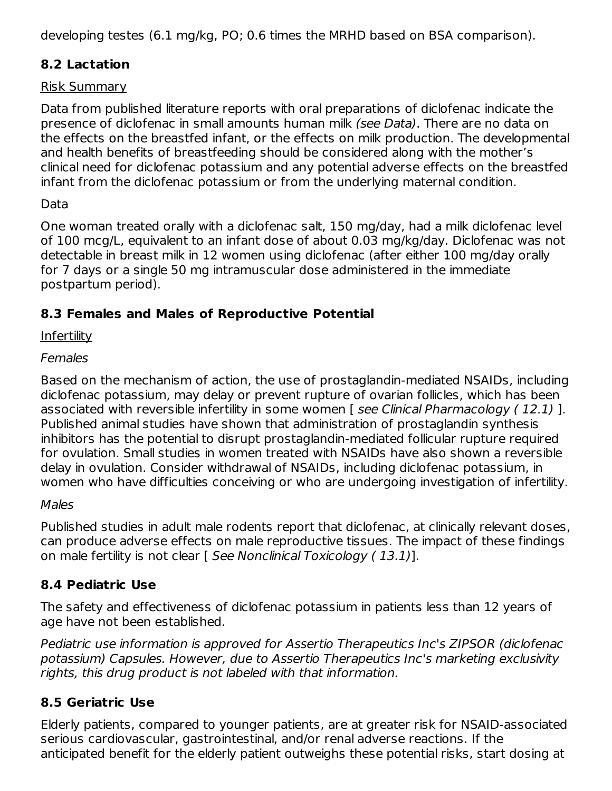developing testes (6.1 mg/kg, PO; 0.6 times the MRHD based on BSA comparison).

# **8.2 Lactation**

## Risk Summary

Data from published literature reports with oral preparations of diclofenac indicate the presence of diclofenac in small amounts human milk (see Data). There are no data on the effects on the breastfed infant, or the effects on milk production. The developmental and health benefits of breastfeeding should be considered along with the mother's clinical need for diclofenac potassium and any potential adverse effects on the breastfed infant from the diclofenac potassium or from the underlying maternal condition.

## Data

One woman treated orally with a diclofenac salt, 150 mg/day, had a milk diclofenac level of 100 mcg/L, equivalent to an infant dose of about 0.03 mg/kg/day. Diclofenac was not detectable in breast milk in 12 women using diclofenac (after either 100 mg/day orally for 7 days or a single 50 mg intramuscular dose administered in the immediate postpartum period).

## **8.3 Females and Males of Reproductive Potential**

Infertility

## Females

Based on the mechanism of action, the use of prostaglandin-mediated NSAIDs, including diclofenac potassium, may delay or prevent rupture of ovarian follicles, which has been associated with reversible infertility in some women [ see Clinical Pharmacology (12.1) ]. Published animal studies have shown that administration of prostaglandin synthesis inhibitors has the potential to disrupt prostaglandin-mediated follicular rupture required for ovulation. Small studies in women treated with NSAIDs have also shown a reversible delay in ovulation. Consider withdrawal of NSAIDs, including diclofenac potassium, in women who have difficulties conceiving or who are undergoing investigation of infertility.

## Males

Published studies in adult male rodents report that diclofenac, at clinically relevant doses, can produce adverse effects on male reproductive tissues. The impact of these findings on male fertility is not clear [ See Nonclinical Toxicology (13.1)].

# **8.4 Pediatric Use**

The safety and effectiveness of diclofenac potassium in patients less than 12 years of age have not been established.

Pediatric use information is approved for Assertio Therapeutics Inc's ZIPSOR (diclofenac potassium) Capsules. However, due to Assertio Therapeutics Inc's marketing exclusivity rights, this drug product is not labeled with that information.

# **8.5 Geriatric Use**

Elderly patients, compared to younger patients, are at greater risk for NSAID-associated serious cardiovascular, gastrointestinal, and/or renal adverse reactions. If the anticipated benefit for the elderly patient outweighs these potential risks, start dosing at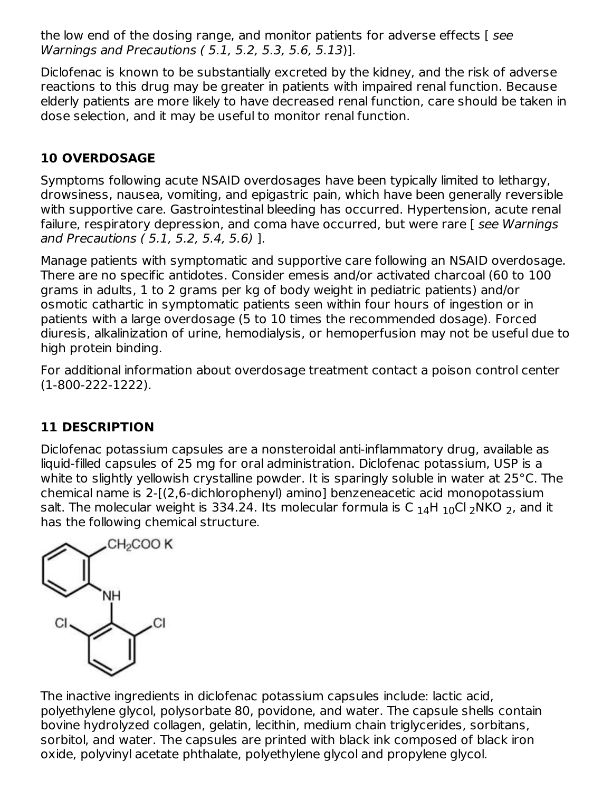the low end of the dosing range, and monitor patients for adverse effects [ see Warnings and Precautions ( 5.1, 5.2, 5.3, 5.6, 5.13)].

Diclofenac is known to be substantially excreted by the kidney, and the risk of adverse reactions to this drug may be greater in patients with impaired renal function. Because elderly patients are more likely to have decreased renal function, care should be taken in dose selection, and it may be useful to monitor renal function.

## **10 OVERDOSAGE**

Symptoms following acute NSAID overdosages have been typically limited to lethargy, drowsiness, nausea, vomiting, and epigastric pain, which have been generally reversible with supportive care. Gastrointestinal bleeding has occurred. Hypertension, acute renal failure, respiratory depression, and coma have occurred, but were rare [see Warnings] and Precautions ( 5.1, 5.2, 5.4, 5.6) ].

Manage patients with symptomatic and supportive care following an NSAID overdosage. There are no specific antidotes. Consider emesis and/or activated charcoal (60 to 100 grams in adults, 1 to 2 grams per kg of body weight in pediatric patients) and/or osmotic cathartic in symptomatic patients seen within four hours of ingestion or in patients with a large overdosage (5 to 10 times the recommended dosage). Forced diuresis, alkalinization of urine, hemodialysis, or hemoperfusion may not be useful due to high protein binding.

For additional information about overdosage treatment contact a poison control center (1-800-222-1222).

# **11 DESCRIPTION**

Diclofenac potassium capsules are a nonsteroidal anti-inflammatory drug, available as liquid-filled capsules of 25 mg for oral administration. Diclofenac potassium, USP is a white to slightly yellowish crystalline powder. It is sparingly soluble in water at 25°C. The chemical name is 2-[(2,6-dichlorophenyl) amino] benzeneacetic acid monopotassium salt. The molecular weight is 334.24. Its molecular formula is C  $_{\rm 14}$ H  $_{\rm 10}$ Cl  $_{\rm 2}$ NKO  $_{\rm 2}$ , and it has the following chemical structure.



The inactive ingredients in diclofenac potassium capsules include: lactic acid, polyethylene glycol, polysorbate 80, povidone, and water. The capsule shells contain bovine hydrolyzed collagen, gelatin, lecithin, medium chain triglycerides, sorbitans, sorbitol, and water. The capsules are printed with black ink composed of black iron oxide, polyvinyl acetate phthalate, polyethylene glycol and propylene glycol.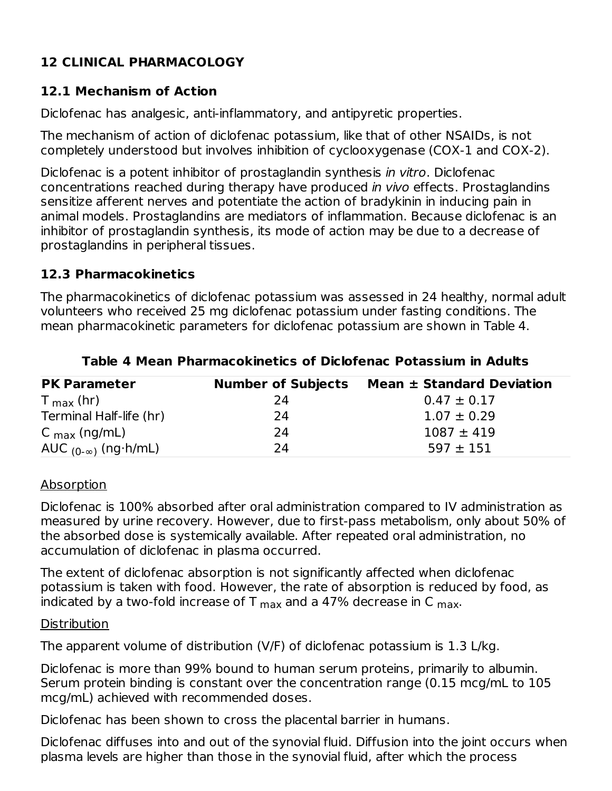# **12 CLINICAL PHARMACOLOGY**

## **12.1 Mechanism of Action**

Diclofenac has analgesic, anti-inflammatory, and antipyretic properties.

The mechanism of action of diclofenac potassium, like that of other NSAIDs, is not completely understood but involves inhibition of cyclooxygenase (COX-1 and COX-2).

Diclofenac is a potent inhibitor of prostaglandin synthesis in vitro. Diclofenac concentrations reached during therapy have produced in vivo effects. Prostaglandins sensitize afferent nerves and potentiate the action of bradykinin in inducing pain in animal models. Prostaglandins are mediators of inflammation. Because diclofenac is an inhibitor of prostaglandin synthesis, its mode of action may be due to a decrease of prostaglandins in peripheral tissues.

## **12.3 Pharmacokinetics**

The pharmacokinetics of diclofenac potassium was assessed in 24 healthy, normal adult volunteers who received 25 mg diclofenac potassium under fasting conditions. The mean pharmacokinetic parameters for diclofenac potassium are shown in Table 4.

| <b>PK Parameter</b>        | <b>Number of Subjects</b> | Mean $\pm$ Standard Deviation |
|----------------------------|---------------------------|-------------------------------|
| T $_{\text{max}}$ (hr)     | 24                        | $0.47 \pm 0.17$               |
| Terminal Half-life (hr)    | 24                        | $1.07 \pm 0.29$               |
| C $_{\text{max}}$ (ng/mL)  | 24                        | $1087 \pm 419$                |
| AUC $(0-\infty)$ (ng·h/mL) | 24                        | $597 \pm 151$                 |

## **Table 4 Mean Pharmacokinetics of Diclofenac Potassium in Adults**

## **Absorption**

Diclofenac is 100% absorbed after oral administration compared to IV administration as measured by urine recovery. However, due to first-pass metabolism, only about 50% of the absorbed dose is systemically available. After repeated oral administration, no accumulation of diclofenac in plasma occurred.

The extent of diclofenac absorption is not significantly affected when diclofenac potassium is taken with food. However, the rate of absorption is reduced by food, as indicated by a two-fold increase of T  $_{\sf max}$  and a 47% decrease in C  $_{\sf max}$ .

## **Distribution**

The apparent volume of distribution (V/F) of diclofenac potassium is 1.3 L/kg.

Diclofenac is more than 99% bound to human serum proteins, primarily to albumin. Serum protein binding is constant over the concentration range (0.15 mcg/mL to 105 mcg/mL) achieved with recommended doses.

Diclofenac has been shown to cross the placental barrier in humans.

Diclofenac diffuses into and out of the synovial fluid. Diffusion into the joint occurs when plasma levels are higher than those in the synovial fluid, after which the process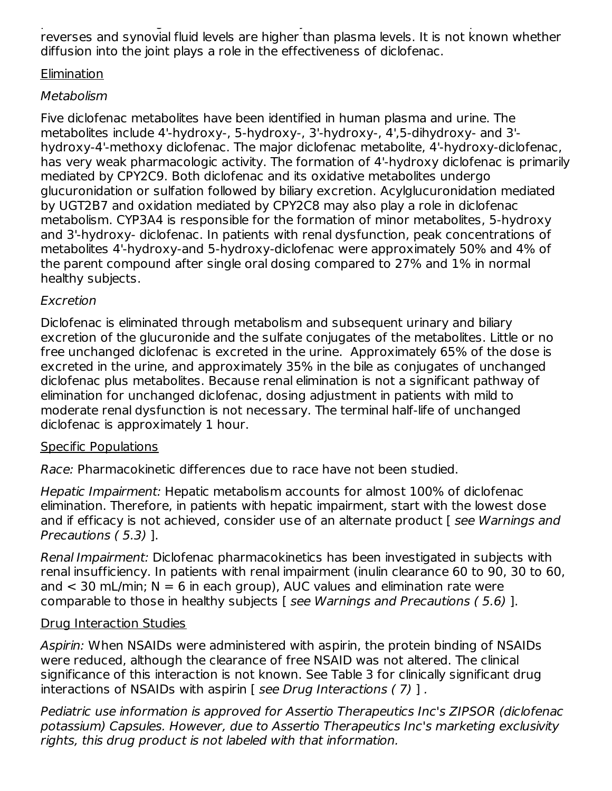plasma levels are higher than those in the synovial fluid, after which the process reverses and synovial fluid levels are higher than plasma levels. It is not known whether diffusion into the joint plays a role in the effectiveness of diclofenac.

## **Elimination**

## Metabolism

Five diclofenac metabolites have been identified in human plasma and urine. The metabolites include 4'-hydroxy-, 5-hydroxy-, 3'-hydroxy-, 4',5-dihydroxy- and 3' hydroxy-4'-methoxy diclofenac. The major diclofenac metabolite, 4'-hydroxy-diclofenac, has very weak pharmacologic activity. The formation of 4'-hydroxy diclofenac is primarily mediated by CPY2C9. Both diclofenac and its oxidative metabolites undergo glucuronidation or sulfation followed by biliary excretion. Acylglucuronidation mediated by UGT2B7 and oxidation mediated by CPY2C8 may also play a role in diclofenac metabolism. CYP3A4 is responsible for the formation of minor metabolites, 5-hydroxy and 3'-hydroxy- diclofenac. In patients with renal dysfunction, peak concentrations of metabolites 4'-hydroxy-and 5-hydroxy-diclofenac were approximately 50% and 4% of the parent compound after single oral dosing compared to 27% and 1% in normal healthy subjects.

## Excretion

Diclofenac is eliminated through metabolism and subsequent urinary and biliary excretion of the glucuronide and the sulfate conjugates of the metabolites. Little or no free unchanged diclofenac is excreted in the urine. Approximately 65% of the dose is excreted in the urine, and approximately 35% in the bile as conjugates of unchanged diclofenac plus metabolites. Because renal elimination is not a significant pathway of elimination for unchanged diclofenac, dosing adjustment in patients with mild to moderate renal dysfunction is not necessary. The terminal half-life of unchanged diclofenac is approximately 1 hour.

# Specific Populations

Race: Pharmacokinetic differences due to race have not been studied.

Hepatic Impairment: Hepatic metabolism accounts for almost 100% of diclofenac elimination. Therefore, in patients with hepatic impairment, start with the lowest dose and if efficacy is not achieved, consider use of an alternate product [see Warnings and Precautions ( 5.3) ].

Renal Impairment: Diclofenac pharmacokinetics has been investigated in subjects with renal insufficiency. In patients with renal impairment (inulin clearance 60 to 90, 30 to 60, and  $\lt$  30 mL/min; N = 6 in each group), AUC values and elimination rate were comparable to those in healthy subjects [ see Warnings and Precautions ( 5.6) ].

# Drug Interaction Studies

Aspirin: When NSAIDs were administered with aspirin, the protein binding of NSAIDs were reduced, although the clearance of free NSAID was not altered. The clinical significance of this interaction is not known. See Table 3 for clinically significant drug interactions of NSAIDs with aspirin  $\int$  see Drug Interactions (7) ].

Pediatric use information is approved for Assertio Therapeutics Inc's ZIPSOR (diclofenac potassium) Capsules. However, due to Assertio Therapeutics Inc's marketing exclusivity rights, this drug product is not labeled with that information.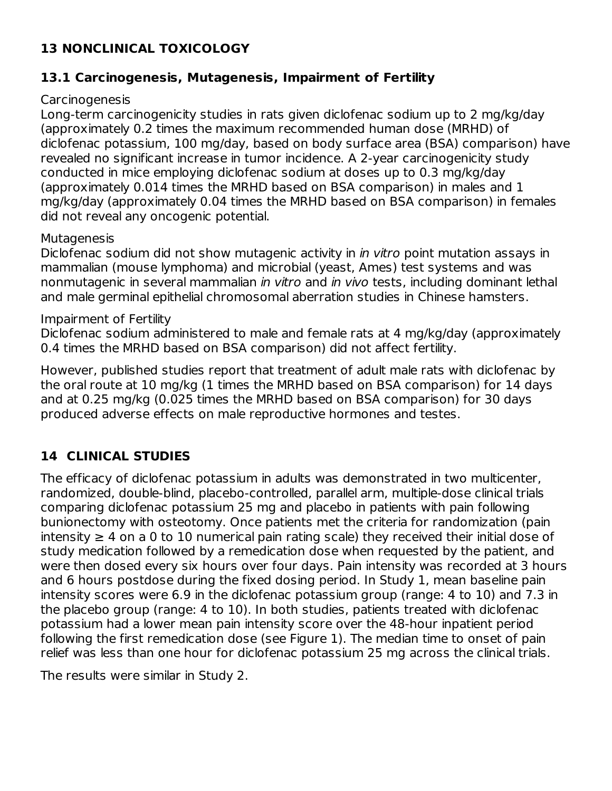## **13 NONCLINICAL TOXICOLOGY**

#### **13.1 Carcinogenesis, Mutagenesis, Impairment of Fertility**

#### Carcinogenesis

Long-term carcinogenicity studies in rats given diclofenac sodium up to 2 mg/kg/day (approximately 0.2 times the maximum recommended human dose (MRHD) of diclofenac potassium, 100 mg/day, based on body surface area (BSA) comparison) have revealed no significant increase in tumor incidence. A 2-year carcinogenicity study conducted in mice employing diclofenac sodium at doses up to 0.3 mg/kg/day (approximately 0.014 times the MRHD based on BSA comparison) in males and 1 mg/kg/day (approximately 0.04 times the MRHD based on BSA comparison) in females did not reveal any oncogenic potential.

#### **Mutagenesis**

Diclofenac sodium did not show mutagenic activity in *in vitro* point mutation assays in mammalian (mouse lymphoma) and microbial (yeast, Ames) test systems and was nonmutagenic in several mammalian in vitro and in vivo tests, including dominant lethal and male germinal epithelial chromosomal aberration studies in Chinese hamsters.

#### Impairment of Fertility

Diclofenac sodium administered to male and female rats at 4 mg/kg/day (approximately 0.4 times the MRHD based on BSA comparison) did not affect fertility.

However, published studies report that treatment of adult male rats with diclofenac by the oral route at 10 mg/kg (1 times the MRHD based on BSA comparison) for 14 days and at 0.25 mg/kg (0.025 times the MRHD based on BSA comparison) for 30 days produced adverse effects on male reproductive hormones and testes.

## **14 CLINICAL STUDIES**

The efficacy of diclofenac potassium in adults was demonstrated in two multicenter, randomized, double-blind, placebo-controlled, parallel arm, multiple-dose clinical trials comparing diclofenac potassium 25 mg and placebo in patients with pain following bunionectomy with osteotomy. Once patients met the criteria for randomization (pain intensity  $\geq 4$  on a 0 to 10 numerical pain rating scale) they received their initial dose of study medication followed by a remedication dose when requested by the patient, and were then dosed every six hours over four days. Pain intensity was recorded at 3 hours and 6 hours postdose during the fixed dosing period. In Study 1, mean baseline pain intensity scores were 6.9 in the diclofenac potassium group (range: 4 to 10) and 7.3 in the placebo group (range: 4 to 10). In both studies, patients treated with diclofenac potassium had a lower mean pain intensity score over the 48-hour inpatient period following the first remedication dose (see Figure 1). The median time to onset of pain relief was less than one hour for diclofenac potassium 25 mg across the clinical trials.

The results were similar in Study 2.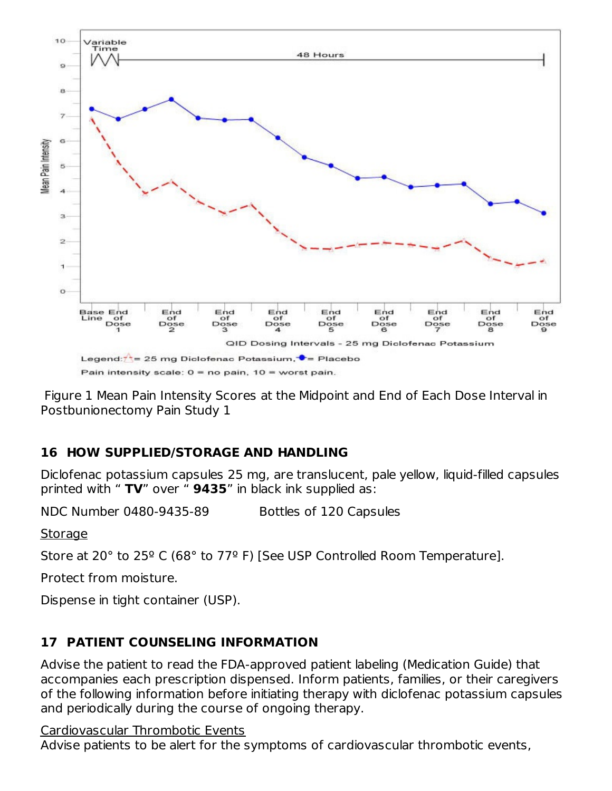

Figure 1 Mean Pain Intensity Scores at the Midpoint and End of Each Dose Interval in Postbunionectomy Pain Study 1

## **16 HOW SUPPLIED/STORAGE AND HANDLING**

Diclofenac potassium capsules 25 mg, are translucent, pale yellow, liquid-filled capsules printed with " **TV**" over " **9435**" in black ink supplied as:

NDC Number 0480-9435-89 Bottles of 120 Capsules

**Storage** 

Store at 20° to 25º C (68° to 77º F) [See USP Controlled Room Temperature].

Protect from moisture.

Dispense in tight container (USP).

## **17 PATIENT COUNSELING INFORMATION**

Advise the patient to read the FDA-approved patient labeling (Medication Guide) that accompanies each prescription dispensed. Inform patients, families, or their caregivers of the following information before initiating therapy with diclofenac potassium capsules and periodically during the course of ongoing therapy.

#### Cardiovascular Thrombotic Events

Advise patients to be alert for the symptoms of cardiovascular thrombotic events,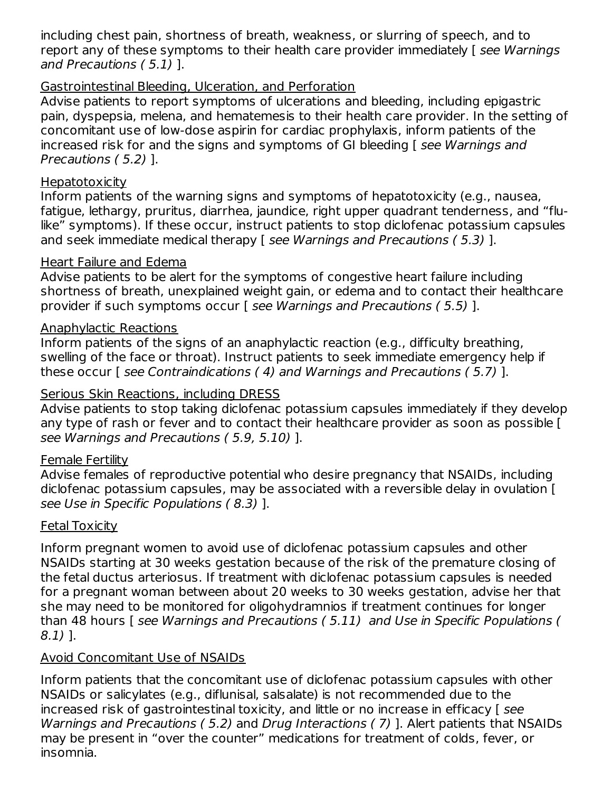including chest pain, shortness of breath, weakness, or slurring of speech, and to report any of these symptoms to their health care provider immediately [see Warnings] and Precautions ( 5.1) ].

## Gastrointestinal Bleeding, Ulceration, and Perforation

Advise patients to report symptoms of ulcerations and bleeding, including epigastric pain, dyspepsia, melena, and hematemesis to their health care provider. In the setting of concomitant use of low-dose aspirin for cardiac prophylaxis, inform patients of the increased risk for and the signs and symptoms of GI bleeding [ see Warnings and Precautions ( 5.2) ].

## **Hepatotoxicity**

Inform patients of the warning signs and symptoms of hepatotoxicity (e.g., nausea, fatigue, lethargy, pruritus, diarrhea, jaundice, right upper quadrant tenderness, and "flulike" symptoms). If these occur, instruct patients to stop diclofenac potassium capsules and seek immediate medical therapy [ see Warnings and Precautions ( 5.3) ].

## Heart Failure and Edema

Advise patients to be alert for the symptoms of congestive heart failure including shortness of breath, unexplained weight gain, or edema and to contact their healthcare provider if such symptoms occur [ see Warnings and Precautions ( 5.5) ].

## Anaphylactic Reactions

Inform patients of the signs of an anaphylactic reaction (e.g., difficulty breathing, swelling of the face or throat). Instruct patients to seek immediate emergency help if these occur [ see Contraindications ( 4) and Warnings and Precautions ( 5.7) ].

## Serious Skin Reactions, including DRESS

Advise patients to stop taking diclofenac potassium capsules immediately if they develop any type of rash or fever and to contact their healthcare provider as soon as possible [ see Warnings and Precautions ( 5.9, 5.10) ].

## Female Fertility

Advise females of reproductive potential who desire pregnancy that NSAIDs, including diclofenac potassium capsules, may be associated with a reversible delay in ovulation [ see Use in Specific Populations ( 8.3) ].

## Fetal Toxicity

Inform pregnant women to avoid use of diclofenac potassium capsules and other NSAIDs starting at 30 weeks gestation because of the risk of the premature closing of the fetal ductus arteriosus. If treatment with diclofenac potassium capsules is needed for a pregnant woman between about 20 weeks to 30 weeks gestation, advise her that she may need to be monitored for oligohydramnios if treatment continues for longer than 48 hours [ see Warnings and Precautions ( 5.11) and Use in Specific Populations ( 8.1) ].

## Avoid Concomitant Use of NSAIDs

Inform patients that the concomitant use of diclofenac potassium capsules with other NSAIDs or salicylates (e.g., diflunisal, salsalate) is not recommended due to the increased risk of gastrointestinal toxicity, and little or no increase in efficacy [ see Warnings and Precautions (5.2) and Drug Interactions (7) ]. Alert patients that NSAIDs may be present in "over the counter" medications for treatment of colds, fever, or insomnia.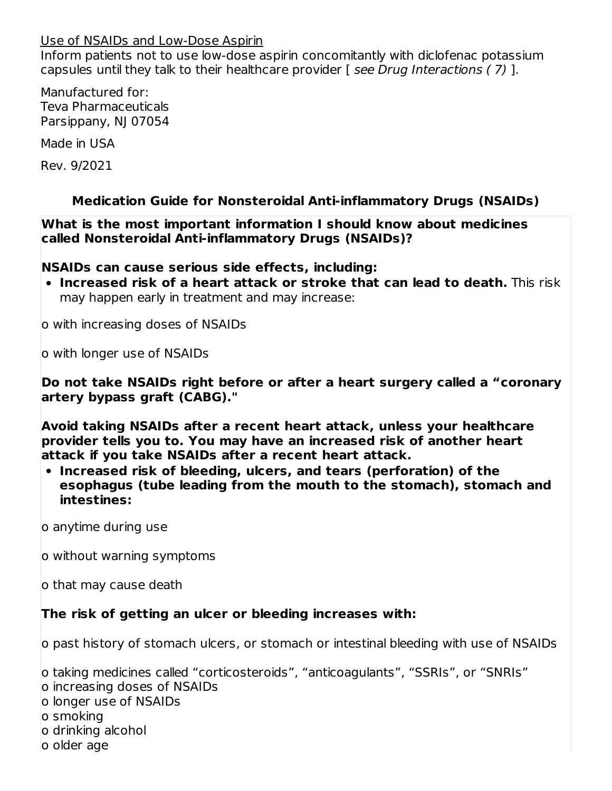#### Use of NSAIDs and Low-Dose Aspirin

Inform patients not to use low-dose aspirin concomitantly with diclofenac potassium capsules until they talk to their healthcare provider  $\lceil$  see Drug Interactions (7) ].

Manufactured for: Teva Pharmaceuticals Parsippany, NJ 07054

Made in USA

Rev. 9/2021

## **Medication Guide for Nonsteroidal Anti-inflammatory Drugs (NSAIDs)**

**What is the most important information I should know about medicines called Nonsteroidal Anti-inflammatory Drugs (NSAIDs)?**

## **NSAIDs can cause serious side effects, including:**

**Increased risk of a heart attack or stroke that can lead to death.** This risk may happen early in treatment and may increase:

o with increasing doses of NSAIDs

o with longer use of NSAIDs

**Do not take NSAIDs right before or after a heart surgery called a "coronary artery bypass graft (CABG)."**

**Avoid taking NSAIDs after a recent heart attack, unless your healthcare provider tells you to. You may have an increased risk of another heart attack if you take NSAIDs after a recent heart attack.**

**Increased risk of bleeding, ulcers, and tears (perforation) of the esophagus (tube leading from the mouth to the stomach), stomach and intestines:**

o anytime during use

o without warning symptoms

o that may cause death

## **The risk of getting an ulcer or bleeding increases with:**

o past history of stomach ulcers, or stomach or intestinal bleeding with use of NSAIDs

o taking medicines called "corticosteroids", "anticoagulants", "SSRIs", or "SNRIs"

- o increasing doses of NSAIDs
- o longer use of NSAIDs
- o smoking
- o drinking alcohol
- o older age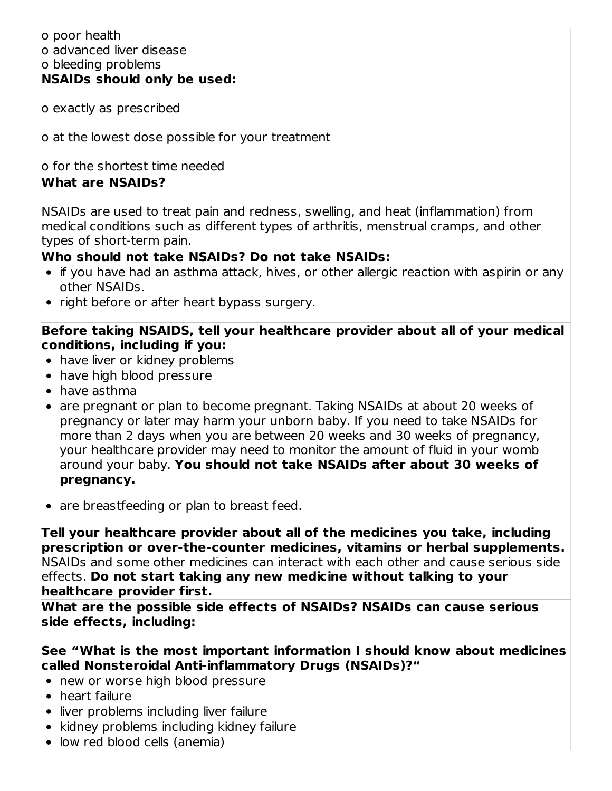o poor health o advanced liver disease o bleeding problems

# **NSAIDs should only be used:**

o exactly as prescribed

o at the lowest dose possible for your treatment

o for the shortest time needed

### **What are NSAIDs?**

NSAIDs are used to treat pain and redness, swelling, and heat (inflammation) from medical conditions such as different types of arthritis, menstrual cramps, and other types of short-term pain.

#### **Who should not take NSAIDs? Do not take NSAIDs:**

- if you have had an asthma attack, hives, or other allergic reaction with aspirin or any other NSAIDs.
- right before or after heart bypass surgery.

#### **Before taking NSAIDS, tell your healthcare provider about all of your medical conditions, including if you:**

- have liver or kidney problems
- have high blood pressure
- have asthma
- are pregnant or plan to become pregnant. Taking NSAIDs at about 20 weeks of pregnancy or later may harm your unborn baby. If you need to take NSAIDs for more than 2 days when you are between 20 weeks and 30 weeks of pregnancy, your healthcare provider may need to monitor the amount of fluid in your womb around your baby. **You should not take NSAIDs after about 30 weeks of pregnancy.**
- are breastfeeding or plan to breast feed.

**Tell your healthcare provider about all of the medicines you take, including prescription or over-the-counter medicines, vitamins or herbal supplements.** NSAIDs and some other medicines can interact with each other and cause serious side effects. **Do not start taking any new medicine without talking to your healthcare provider first.**

**What are the possible side effects of NSAIDs? NSAIDs can cause serious side effects, including:**

**See "What is the most important information I should know about medicines called Nonsteroidal Anti-inflammatory Drugs (NSAIDs)?"**

- new or worse high blood pressure
- heart failure
- liver problems including liver failure
- kidney problems including kidney failure
- low red blood cells (anemia)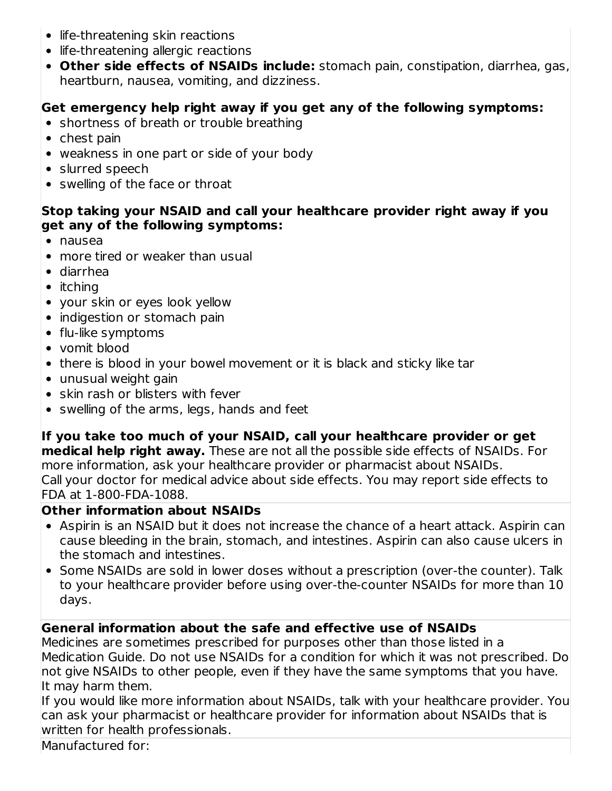- life-threatening skin reactions
- life-threatening allergic reactions
- **Other side effects of NSAIDs include:** stomach pain, constipation, diarrhea, gas, heartburn, nausea, vomiting, and dizziness.

# **Get emergency help right away if you get any of the following symptoms:**

- shortness of breath or trouble breathing
- chest pain
- weakness in one part or side of your body
- slurred speech
- swelling of the face or throat

## **Stop taking your NSAID and call your healthcare provider right away if you get any of the following symptoms:**

- nausea
- more tired or weaker than usual
- diarrhea
- $\bullet$  itching
- your skin or eyes look yellow
- indigestion or stomach pain
- flu-like symptoms
- vomit blood
- there is blood in your bowel movement or it is black and sticky like tar
- unusual weight gain
- skin rash or blisters with fever
- swelling of the arms, legs, hands and feet

**If you take too much of your NSAID, call your healthcare provider or get medical help right away.** These are not all the possible side effects of NSAIDs. For more information, ask your healthcare provider or pharmacist about NSAIDs. Call your doctor for medical advice about side effects. You may report side effects to FDA at 1-800-FDA-1088.

## **Other information about NSAIDs**

- Aspirin is an NSAID but it does not increase the chance of a heart attack. Aspirin can cause bleeding in the brain, stomach, and intestines. Aspirin can also cause ulcers in the stomach and intestines.
- Some NSAIDs are sold in lower doses without a prescription (over-the counter). Talk to your healthcare provider before using over-the-counter NSAIDs for more than 10 days.

## **General information about the safe and effective use of NSAIDs**

Medicines are sometimes prescribed for purposes other than those listed in a Medication Guide. Do not use NSAIDs for a condition for which it was not prescribed. Do not give NSAIDs to other people, even if they have the same symptoms that you have. It may harm them.

If you would like more information about NSAIDs, talk with your healthcare provider. You can ask your pharmacist or healthcare provider for information about NSAIDs that is written for health professionals.

Manufactured for: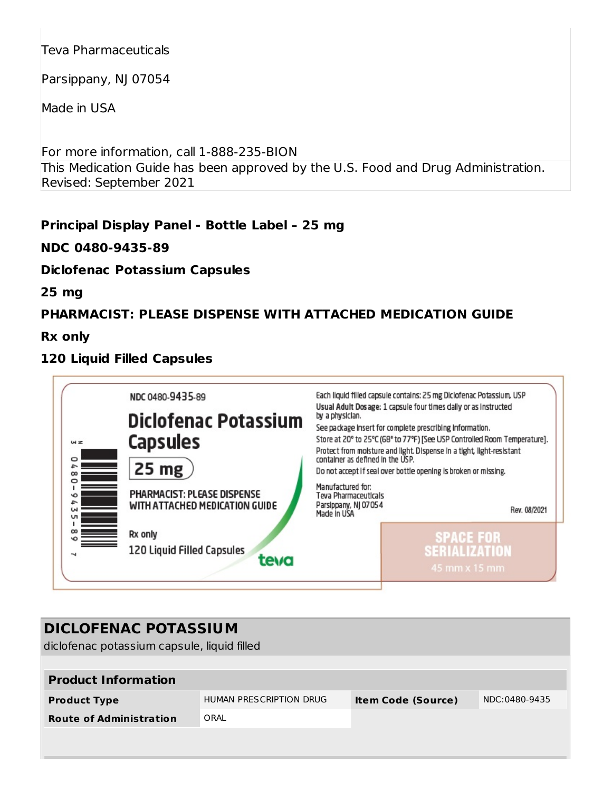Teva Pharmaceuticals

Parsippany, NJ 07054

Made in USA

For more information, call 1-888-235-BION

This Medication Guide has been approved by the U.S. Food and Drug Administration. Revised: September 2021

# **Principal Display Panel - Bottle Label – 25 mg**

# **NDC 0480-9435-89**

# **Diclofenac Potassium Capsules**

**25 mg**

# **PHARMACIST: PLEASE DISPENSE WITH ATTACHED MEDICATION GUIDE**

## **Rx only**

## **120 Liquid Filled Capsules**



| <b>DICLOFENAC POTASSIUM</b><br>diclofenac potassium capsule, liquid filled |                         |                           |               |  |  |  |
|----------------------------------------------------------------------------|-------------------------|---------------------------|---------------|--|--|--|
|                                                                            |                         |                           |               |  |  |  |
| <b>Product Information</b>                                                 |                         |                           |               |  |  |  |
| <b>Product Type</b>                                                        | HUMAN PRESCRIPTION DRUG | <b>Item Code (Source)</b> | NDC:0480-9435 |  |  |  |
| <b>Route of Administration</b>                                             | ORAL                    |                           |               |  |  |  |
|                                                                            |                         |                           |               |  |  |  |
|                                                                            |                         |                           |               |  |  |  |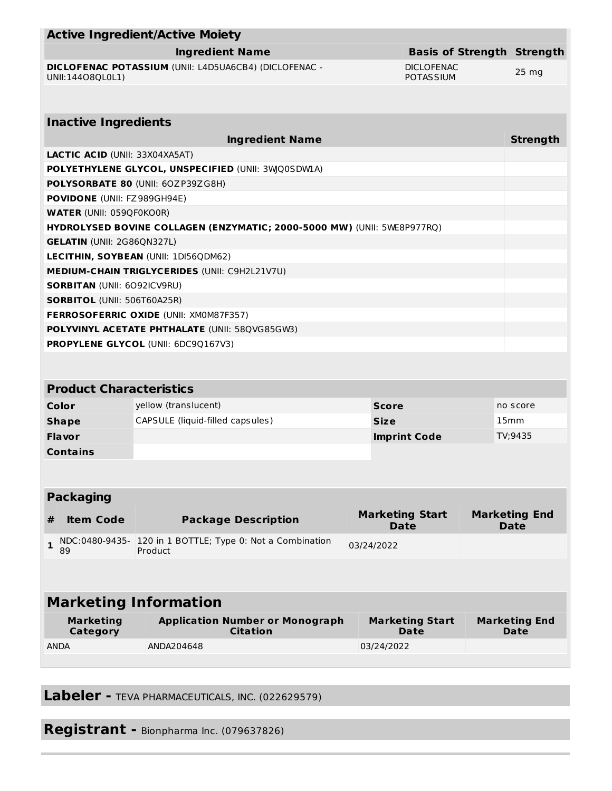|                                            |                                    | <b>Active Ingredient/Active Moiety</b>                                                                |              |                                       |                                     |  |
|--------------------------------------------|------------------------------------|-------------------------------------------------------------------------------------------------------|--------------|---------------------------------------|-------------------------------------|--|
|                                            |                                    | <b>Ingredient Name</b>                                                                                |              | <b>Basis of Strength Strength</b>     |                                     |  |
|                                            | UNII:144080L0L1)                   | <b>DICLOFENAC POTASSIUM (UNII: L4D5UA6CB4) (DICLOFENAC -</b><br><b>DICLOFENAC</b><br><b>POTASSIUM</b> |              |                                       | $25 \, mg$                          |  |
|                                            |                                    |                                                                                                       |              |                                       |                                     |  |
|                                            | <b>Inactive Ingredients</b>        |                                                                                                       |              |                                       |                                     |  |
|                                            |                                    | <b>Ingredient Name</b>                                                                                |              |                                       | <b>Strength</b>                     |  |
|                                            | LACTIC ACID (UNII: 33X04XA5AT)     |                                                                                                       |              |                                       |                                     |  |
|                                            |                                    | <b>POLYETHYLENE GLYCOL, UNSPECIFIED (UNII: 3WQ0SDWIA)</b>                                             |              |                                       |                                     |  |
|                                            |                                    | POLYSORBATE 80 (UNII: 60ZP39ZG8H)                                                                     |              |                                       |                                     |  |
|                                            | <b>POVIDONE</b> (UNII: FZ989GH94E) |                                                                                                       |              |                                       |                                     |  |
|                                            | <b>WATER (UNII: 059QF0KO0R)</b>    |                                                                                                       |              |                                       |                                     |  |
|                                            |                                    | HYDROLYSED BOVINE COLLAGEN (ENZYMATIC; 2000-5000 MW) (UNII: 5WE8P977RQ)                               |              |                                       |                                     |  |
|                                            | <b>GELATIN (UNII: 2G86QN327L)</b>  |                                                                                                       |              |                                       |                                     |  |
|                                            |                                    | <b>LECITHIN, SOYBEAN (UNII: 1DI56QDM62)</b>                                                           |              |                                       |                                     |  |
|                                            |                                    | MEDIUM-CHAIN TRIGLYCERIDES (UNII: C9H2L21V7U)                                                         |              |                                       |                                     |  |
|                                            | <b>SORBITAN (UNII: 6092ICV9RU)</b> |                                                                                                       |              |                                       |                                     |  |
|                                            | <b>SORBITOL (UNII: 506T60A25R)</b> |                                                                                                       |              |                                       |                                     |  |
|                                            |                                    | <b>FERROSOFERRIC OXIDE (UNII: XM0M87F357)</b>                                                         |              |                                       |                                     |  |
|                                            |                                    | <b>POLYVINYL ACETATE PHTHALATE (UNII: 58QVG85GW3)</b>                                                 |              |                                       |                                     |  |
| <b>PROPYLENE GLYCOL (UNII: 6DC9Q167V3)</b> |                                    |                                                                                                       |              |                                       |                                     |  |
|                                            |                                    |                                                                                                       |              |                                       |                                     |  |
|                                            | <b>Product Characteristics</b>     |                                                                                                       |              |                                       |                                     |  |
|                                            | Color                              | yellow (translucent)                                                                                  | <b>Score</b> |                                       | no score                            |  |
|                                            | <b>Shape</b>                       | CAPSULE (liquid-filled capsules)                                                                      | <b>Size</b>  |                                       | 15mm                                |  |
|                                            | <b>Flavor</b>                      |                                                                                                       |              | <b>Imprint Code</b>                   | TV;9435                             |  |
|                                            | <b>Contains</b>                    |                                                                                                       |              |                                       |                                     |  |
|                                            |                                    |                                                                                                       |              |                                       |                                     |  |
|                                            |                                    |                                                                                                       |              |                                       |                                     |  |
|                                            | <b>Packaging</b>                   |                                                                                                       |              |                                       |                                     |  |
| #                                          | <b>Item Code</b>                   | <b>Package Description</b>                                                                            |              | <b>Marketing Start</b><br><b>Date</b> | <b>Marketing End</b><br><b>Date</b> |  |
| $\mathbf{1}$                               | NDC:0480-9435-<br>89               | 120 in 1 BOTTLE; Type 0: Not a Combination<br>Product                                                 | 03/24/2022   |                                       |                                     |  |
|                                            |                                    |                                                                                                       |              |                                       |                                     |  |
| <b>Marketing Information</b>               |                                    |                                                                                                       |              |                                       |                                     |  |
|                                            | <b>Marketing</b><br>Category       | <b>Application Number or Monograph</b><br><b>Citation</b>                                             |              | <b>Marketing Start</b><br>Date        | <b>Marketing End</b><br>Date        |  |
|                                            | <b>ANDA</b>                        | ANDA204648                                                                                            | 03/24/2022   |                                       |                                     |  |
|                                            |                                    |                                                                                                       |              |                                       |                                     |  |

**Labeler -** TEVA PHARMACEUTICALS, INC. (022629579)

**Registrant -** Bionpharma Inc. (079637826)